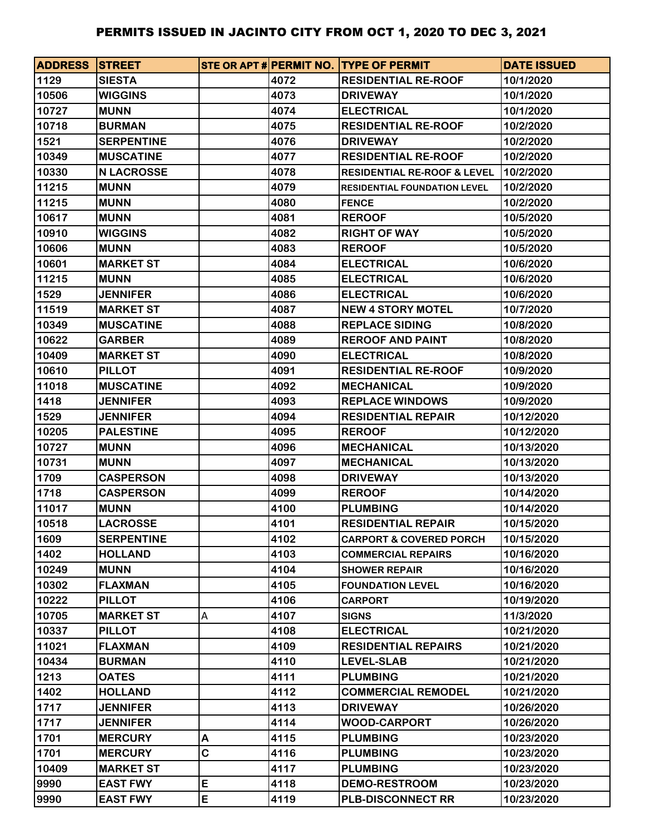| <b>ADDRESS STREET</b> |                   |   |      | STE OR APT # PERMIT NO. TYPE OF PERMIT | <b>DATE ISSUED</b> |
|-----------------------|-------------------|---|------|----------------------------------------|--------------------|
| 1129                  | <b>SIESTA</b>     |   | 4072 | <b>RESIDENTIAL RE-ROOF</b>             | 10/1/2020          |
| 10506                 | <b>WIGGINS</b>    |   | 4073 | <b>DRIVEWAY</b>                        | 10/1/2020          |
| 10727                 | <b>MUNN</b>       |   | 4074 | <b>ELECTRICAL</b>                      | 10/1/2020          |
| 10718                 | <b>BURMAN</b>     |   | 4075 | <b>RESIDENTIAL RE-ROOF</b>             | 10/2/2020          |
| 1521                  | <b>SERPENTINE</b> |   | 4076 | <b>DRIVEWAY</b>                        | 10/2/2020          |
| 10349                 | <b>MUSCATINE</b>  |   | 4077 | <b>RESIDENTIAL RE-ROOF</b>             | 10/2/2020          |
| 10330                 | <b>N LACROSSE</b> |   | 4078 | <b>RESIDENTIAL RE-ROOF &amp; LEVEL</b> | 10/2/2020          |
| 11215                 | <b>MUNN</b>       |   | 4079 | <b>RESIDENTIAL FOUNDATION LEVEL</b>    | 10/2/2020          |
| 11215                 | <b>MUNN</b>       |   | 4080 | <b>FENCE</b>                           | 10/2/2020          |
| 10617                 | <b>MUNN</b>       |   | 4081 | <b>REROOF</b>                          | 10/5/2020          |
| 10910                 | <b>WIGGINS</b>    |   | 4082 | <b>RIGHT OF WAY</b>                    | 10/5/2020          |
| 10606                 | <b>MUNN</b>       |   | 4083 | <b>REROOF</b>                          | 10/5/2020          |
| 10601                 | <b>MARKET ST</b>  |   | 4084 | <b>ELECTRICAL</b>                      | 10/6/2020          |
| 11215                 | <b>MUNN</b>       |   | 4085 | <b>ELECTRICAL</b>                      | 10/6/2020          |
| 1529                  | <b>JENNIFER</b>   |   | 4086 | <b>ELECTRICAL</b>                      | 10/6/2020          |
| 11519                 | <b>MARKET ST</b>  |   | 4087 | <b>NEW 4 STORY MOTEL</b>               | 10/7/2020          |
| 10349                 | <b>MUSCATINE</b>  |   | 4088 | <b>REPLACE SIDING</b>                  | 10/8/2020          |
| 10622                 | <b>GARBER</b>     |   | 4089 | <b>REROOF AND PAINT</b>                | 10/8/2020          |
| 10409                 | <b>MARKET ST</b>  |   | 4090 | <b>ELECTRICAL</b>                      | 10/8/2020          |
| 10610                 | <b>PILLOT</b>     |   | 4091 | <b>RESIDENTIAL RE-ROOF</b>             | 10/9/2020          |
| 11018                 | <b>MUSCATINE</b>  |   | 4092 | <b>MECHANICAL</b>                      | 10/9/2020          |
| 1418                  | <b>JENNIFER</b>   |   | 4093 | <b>REPLACE WINDOWS</b>                 | 10/9/2020          |
| 1529                  | <b>JENNIFER</b>   |   | 4094 | <b>RESIDENTIAL REPAIR</b>              | 10/12/2020         |
| 10205                 | <b>PALESTINE</b>  |   | 4095 | <b>REROOF</b>                          | 10/12/2020         |
| 10727                 | <b>MUNN</b>       |   | 4096 | <b>MECHANICAL</b>                      | 10/13/2020         |
| 10731                 | <b>MUNN</b>       |   | 4097 | <b>MECHANICAL</b>                      | 10/13/2020         |
| 1709                  | <b>CASPERSON</b>  |   | 4098 | <b>DRIVEWAY</b>                        | 10/13/2020         |
| 1718                  | <b>CASPERSON</b>  |   | 4099 | <b>REROOF</b>                          | 10/14/2020         |
| 11017                 | <b>MUNN</b>       |   | 4100 | <b>PLUMBING</b>                        | 10/14/2020         |
| 10518                 | <b>LACROSSE</b>   |   | 4101 | <b>RESIDENTIAL REPAIR</b>              | 10/15/2020         |
| 1609                  | <b>SERPENTINE</b> |   | 4102 | <b>CARPORT &amp; COVERED PORCH</b>     | 10/15/2020         |
| 1402                  | <b>HOLLAND</b>    |   | 4103 | <b>COMMERCIAL REPAIRS</b>              | 10/16/2020         |
| 10249                 | <b>MUNN</b>       |   | 4104 | <b>SHOWER REPAIR</b>                   | 10/16/2020         |
| 10302                 | <b>FLAXMAN</b>    |   | 4105 | <b>FOUNDATION LEVEL</b>                | 10/16/2020         |
| 10222                 | <b>PILLOT</b>     |   | 4106 | <b>CARPORT</b>                         | 10/19/2020         |
| 10705                 | <b>MARKET ST</b>  | A | 4107 | <b>SIGNS</b>                           | 11/3/2020          |
| 10337                 | <b>PILLOT</b>     |   | 4108 | <b>ELECTRICAL</b>                      | 10/21/2020         |
| 11021                 | <b>FLAXMAN</b>    |   | 4109 | <b>RESIDENTIAL REPAIRS</b>             | 10/21/2020         |
| 10434                 | <b>BURMAN</b>     |   | 4110 | <b>LEVEL-SLAB</b>                      | 10/21/2020         |
| 1213                  | <b>OATES</b>      |   | 4111 | <b>PLUMBING</b>                        | 10/21/2020         |
| 1402                  | <b>HOLLAND</b>    |   | 4112 | <b>COMMERCIAL REMODEL</b>              | 10/21/2020         |
| 1717                  | <b>JENNIFER</b>   |   | 4113 | <b>DRIVEWAY</b>                        | 10/26/2020         |
| 1717                  | <b>JENNIFER</b>   |   | 4114 | <b>WOOD-CARPORT</b>                    | 10/26/2020         |
| 1701                  | <b>MERCURY</b>    | Α | 4115 | <b>PLUMBING</b>                        | 10/23/2020         |
| 1701                  | <b>MERCURY</b>    | C | 4116 | <b>PLUMBING</b>                        | 10/23/2020         |
| 10409                 | <b>MARKET ST</b>  |   | 4117 | <b>PLUMBING</b>                        | 10/23/2020         |
| 9990                  | <b>EAST FWY</b>   | E | 4118 | <b>DEMO-RESTROOM</b>                   | 10/23/2020         |
| 9990                  | <b>EAST FWY</b>   | E | 4119 | <b>PLB-DISCONNECT RR</b>               | 10/23/2020         |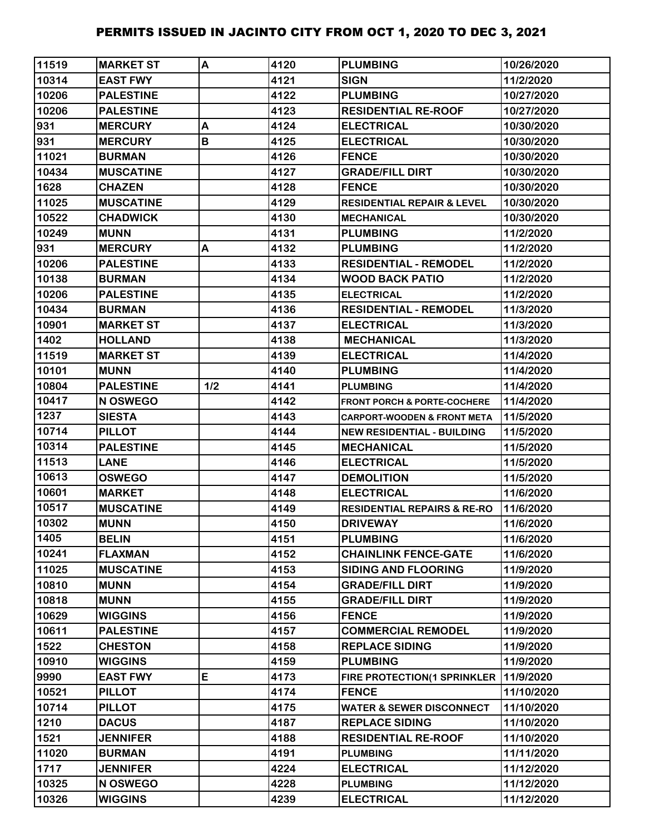| 11519 | <b>MARKET ST</b> | A   | 4120 | <b>PLUMBING</b>                        | 10/26/2020 |
|-------|------------------|-----|------|----------------------------------------|------------|
| 10314 | <b>EAST FWY</b>  |     | 4121 | <b>SIGN</b>                            | 11/2/2020  |
| 10206 | <b>PALESTINE</b> |     | 4122 | <b>PLUMBING</b>                        | 10/27/2020 |
| 10206 | <b>PALESTINE</b> |     | 4123 | <b>RESIDENTIAL RE-ROOF</b>             | 10/27/2020 |
| 931   | <b>MERCURY</b>   | A   | 4124 | <b>ELECTRICAL</b>                      | 10/30/2020 |
| 931   | <b>MERCURY</b>   | B   | 4125 | <b>ELECTRICAL</b>                      | 10/30/2020 |
| 11021 | <b>BURMAN</b>    |     | 4126 | <b>FENCE</b>                           | 10/30/2020 |
| 10434 | <b>MUSCATINE</b> |     | 4127 | <b>GRADE/FILL DIRT</b>                 | 10/30/2020 |
| 1628  | <b>CHAZEN</b>    |     | 4128 | <b>FENCE</b>                           | 10/30/2020 |
| 11025 | <b>MUSCATINE</b> |     | 4129 | <b>RESIDENTIAL REPAIR &amp; LEVEL</b>  | 10/30/2020 |
| 10522 | <b>CHADWICK</b>  |     | 4130 | <b>MECHANICAL</b>                      | 10/30/2020 |
| 10249 | <b>MUNN</b>      |     | 4131 | <b>PLUMBING</b>                        | 11/2/2020  |
| 931   | <b>MERCURY</b>   | A   | 4132 | <b>PLUMBING</b>                        | 11/2/2020  |
| 10206 | <b>PALESTINE</b> |     | 4133 | <b>RESIDENTIAL - REMODEL</b>           | 11/2/2020  |
| 10138 | <b>BURMAN</b>    |     | 4134 | <b>WOOD BACK PATIO</b>                 | 11/2/2020  |
| 10206 | <b>PALESTINE</b> |     | 4135 | <b>ELECTRICAL</b>                      | 11/2/2020  |
| 10434 | <b>BURMAN</b>    |     | 4136 | <b>RESIDENTIAL - REMODEL</b>           | 11/3/2020  |
| 10901 | <b>MARKET ST</b> |     | 4137 | <b>ELECTRICAL</b>                      | 11/3/2020  |
| 1402  | <b>HOLLAND</b>   |     | 4138 | <b>MECHANICAL</b>                      | 11/3/2020  |
| 11519 | <b>MARKET ST</b> |     | 4139 | <b>ELECTRICAL</b>                      | 11/4/2020  |
| 10101 | <b>MUNN</b>      |     | 4140 | <b>PLUMBING</b>                        | 11/4/2020  |
| 10804 | <b>PALESTINE</b> | 1/2 | 4141 | <b>PLUMBING</b>                        | 11/4/2020  |
| 10417 | N OSWEGO         |     | 4142 | <b>FRONT PORCH &amp; PORTE-COCHERE</b> | 11/4/2020  |
| 1237  | <b>SIESTA</b>    |     | 4143 | CARPORT-WOODEN & FRONT META            | 11/5/2020  |
| 10714 | <b>PILLOT</b>    |     | 4144 | <b>NEW RESIDENTIAL - BUILDING</b>      | 11/5/2020  |
| 10314 | <b>PALESTINE</b> |     | 4145 | <b>MECHANICAL</b>                      | 11/5/2020  |
| 11513 | <b>LANE</b>      |     | 4146 | <b>ELECTRICAL</b>                      | 11/5/2020  |
| 10613 | <b>OSWEGO</b>    |     | 4147 | <b>DEMOLITION</b>                      | 11/5/2020  |
| 10601 | <b>MARKET</b>    |     | 4148 | <b>ELECTRICAL</b>                      | 11/6/2020  |
| 10517 | <b>MUSCATINE</b> |     | 4149 | <b>RESIDENTIAL REPAIRS &amp; RE-RO</b> | 11/6/2020  |
| 10302 | <b>MUNN</b>      |     | 4150 | <b>DRIVEWAY</b>                        | 11/6/2020  |
| 1405  | <b>BELIN</b>     |     | 4151 | <b>PLUMBING</b>                        | 11/6/2020  |
| 10241 | <b>FLAXMAN</b>   |     | 4152 | <b>CHAINLINK FENCE-GATE</b>            | 11/6/2020  |
| 11025 | <b>MUSCATINE</b> |     | 4153 | <b>SIDING AND FLOORING</b>             | 11/9/2020  |
| 10810 | <b>MUNN</b>      |     | 4154 | <b>GRADE/FILL DIRT</b>                 | 11/9/2020  |
| 10818 | <b>MUNN</b>      |     | 4155 | <b>GRADE/FILL DIRT</b>                 | 11/9/2020  |
| 10629 | <b>WIGGINS</b>   |     | 4156 | <b>FENCE</b>                           | 11/9/2020  |
| 10611 | <b>PALESTINE</b> |     | 4157 | <b>COMMERCIAL REMODEL</b>              | 11/9/2020  |
| 1522  | <b>CHESTON</b>   |     | 4158 | <b>REPLACE SIDING</b>                  | 11/9/2020  |
| 10910 | <b>WIGGINS</b>   |     | 4159 | <b>PLUMBING</b>                        | 11/9/2020  |
| 9990  | <b>EAST FWY</b>  | E   | 4173 | FIRE PROTECTION(1 SPRINKLER            | 11/9/2020  |
| 10521 | <b>PILLOT</b>    |     | 4174 | <b>FENCE</b>                           | 11/10/2020 |
| 10714 | <b>PILLOT</b>    |     | 4175 | <b>WATER &amp; SEWER DISCONNECT</b>    | 11/10/2020 |
| 1210  | <b>DACUS</b>     |     | 4187 | <b>REPLACE SIDING</b>                  | 11/10/2020 |
| 1521  | <b>JENNIFER</b>  |     | 4188 | <b>RESIDENTIAL RE-ROOF</b>             | 11/10/2020 |
| 11020 | <b>BURMAN</b>    |     | 4191 | <b>PLUMBING</b>                        | 11/11/2020 |
| 1717  | <b>JENNIFER</b>  |     | 4224 | <b>ELECTRICAL</b>                      | 11/12/2020 |
| 10325 | N OSWEGO         |     | 4228 | <b>PLUMBING</b>                        | 11/12/2020 |
| 10326 | <b>WIGGINS</b>   |     | 4239 | <b>ELECTRICAL</b>                      | 11/12/2020 |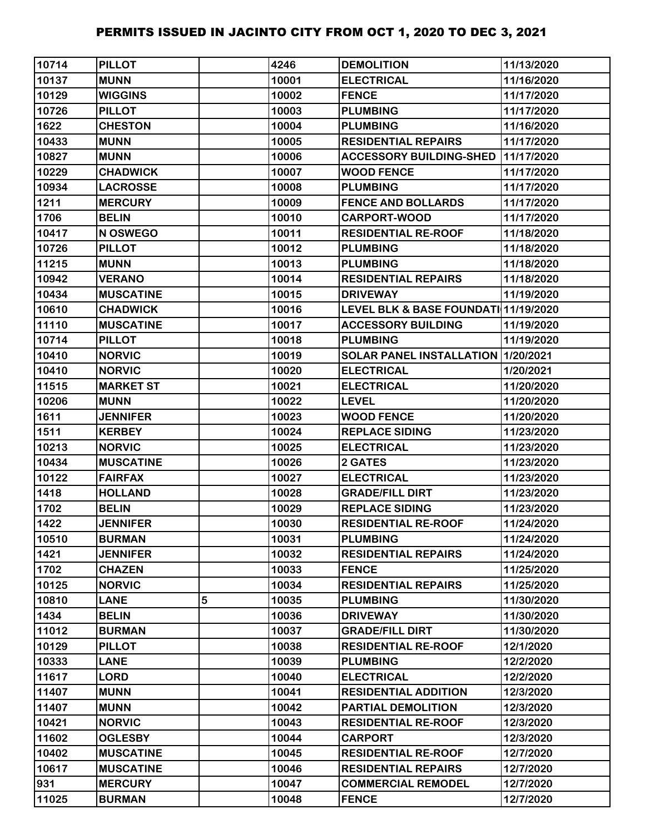| 10714 | <b>PILLOT</b>    |   | 4246  | <b>DEMOLITION</b>                    | 11/13/2020 |
|-------|------------------|---|-------|--------------------------------------|------------|
| 10137 | <b>MUNN</b>      |   | 10001 | <b>ELECTRICAL</b>                    | 11/16/2020 |
| 10129 | <b>WIGGINS</b>   |   | 10002 | <b>FENCE</b>                         | 11/17/2020 |
| 10726 | <b>PILLOT</b>    |   | 10003 | <b>PLUMBING</b>                      | 11/17/2020 |
| 1622  | <b>CHESTON</b>   |   | 10004 | <b>PLUMBING</b>                      | 11/16/2020 |
| 10433 | <b>MUNN</b>      |   | 10005 | <b>RESIDENTIAL REPAIRS</b>           | 11/17/2020 |
| 10827 | <b>MUNN</b>      |   | 10006 | <b>ACCESSORY BUILDING-SHED</b>       | 11/17/2020 |
| 10229 | <b>CHADWICK</b>  |   | 10007 | <b>WOOD FENCE</b>                    | 11/17/2020 |
| 10934 | <b>LACROSSE</b>  |   | 10008 | <b>PLUMBING</b>                      | 11/17/2020 |
| 1211  | <b>MERCURY</b>   |   | 10009 | <b>FENCE AND BOLLARDS</b>            | 11/17/2020 |
| 1706  | <b>BELIN</b>     |   | 10010 | <b>CARPORT-WOOD</b>                  | 11/17/2020 |
| 10417 | N OSWEGO         |   | 10011 | <b>RESIDENTIAL RE-ROOF</b>           | 11/18/2020 |
| 10726 | <b>PILLOT</b>    |   | 10012 | <b>PLUMBING</b>                      | 11/18/2020 |
| 11215 | <b>MUNN</b>      |   | 10013 | <b>PLUMBING</b>                      | 11/18/2020 |
| 10942 | <b>VERANO</b>    |   | 10014 | <b>RESIDENTIAL REPAIRS</b>           | 11/18/2020 |
| 10434 | <b>MUSCATINE</b> |   | 10015 | <b>DRIVEWAY</b>                      | 11/19/2020 |
| 10610 | <b>CHADWICK</b>  |   | 10016 | LEVEL BLK & BASE FOUNDATI 11/19/2020 |            |
| 11110 | <b>MUSCATINE</b> |   | 10017 | <b>ACCESSORY BUILDING</b>            | 11/19/2020 |
| 10714 | <b>PILLOT</b>    |   | 10018 | <b>PLUMBING</b>                      | 11/19/2020 |
| 10410 | <b>NORVIC</b>    |   | 10019 | SOLAR PANEL INSTALLATION 1/20/2021   |            |
| 10410 | <b>NORVIC</b>    |   | 10020 | <b>ELECTRICAL</b>                    | 1/20/2021  |
| 11515 | <b>MARKET ST</b> |   | 10021 | <b>ELECTRICAL</b>                    | 11/20/2020 |
| 10206 | <b>MUNN</b>      |   | 10022 | <b>LEVEL</b>                         | 11/20/2020 |
| 1611  | <b>JENNIFER</b>  |   | 10023 | <b>WOOD FENCE</b>                    | 11/20/2020 |
| 1511  | <b>KERBEY</b>    |   | 10024 | <b>REPLACE SIDING</b>                | 11/23/2020 |
| 10213 | <b>NORVIC</b>    |   | 10025 | <b>ELECTRICAL</b>                    | 11/23/2020 |
| 10434 | <b>MUSCATINE</b> |   | 10026 | 2 GATES                              | 11/23/2020 |
| 10122 | <b>FAIRFAX</b>   |   | 10027 | <b>ELECTRICAL</b>                    | 11/23/2020 |
| 1418  | <b>HOLLAND</b>   |   | 10028 | <b>GRADE/FILL DIRT</b>               | 11/23/2020 |
| 1702  | <b>BELIN</b>     |   | 10029 | <b>REPLACE SIDING</b>                | 11/23/2020 |
| 1422  | <b>JENNIFER</b>  |   | 10030 | <b>RESIDENTIAL RE-ROOF</b>           | 11/24/2020 |
| 10510 | <b>BURMAN</b>    |   | 10031 | <b>PLUMBING</b>                      | 11/24/2020 |
| 1421  | <b>JENNIFER</b>  |   | 10032 | <b>RESIDENTIAL REPAIRS</b>           | 11/24/2020 |
| 1702  | <b>CHAZEN</b>    |   | 10033 | <b>FENCE</b>                         | 11/25/2020 |
| 10125 | <b>NORVIC</b>    |   | 10034 | <b>RESIDENTIAL REPAIRS</b>           | 11/25/2020 |
| 10810 | <b>LANE</b>      | 5 | 10035 | <b>PLUMBING</b>                      | 11/30/2020 |
| 1434  | <b>BELIN</b>     |   | 10036 | <b>DRIVEWAY</b>                      | 11/30/2020 |
| 11012 | <b>BURMAN</b>    |   | 10037 | <b>GRADE/FILL DIRT</b>               | 11/30/2020 |
| 10129 | <b>PILLOT</b>    |   | 10038 | <b>RESIDENTIAL RE-ROOF</b>           | 12/1/2020  |
| 10333 | <b>LANE</b>      |   | 10039 | <b>PLUMBING</b>                      | 12/2/2020  |
| 11617 | <b>LORD</b>      |   | 10040 | <b>ELECTRICAL</b>                    | 12/2/2020  |
| 11407 | <b>MUNN</b>      |   | 10041 | <b>RESIDENTIAL ADDITION</b>          | 12/3/2020  |
| 11407 | <b>MUNN</b>      |   | 10042 | PARTIAL DEMOLITION                   | 12/3/2020  |
| 10421 | <b>NORVIC</b>    |   | 10043 | <b>RESIDENTIAL RE-ROOF</b>           | 12/3/2020  |
| 11602 | <b>OGLESBY</b>   |   | 10044 | <b>CARPORT</b>                       | 12/3/2020  |
| 10402 | <b>MUSCATINE</b> |   | 10045 | <b>RESIDENTIAL RE-ROOF</b>           | 12/7/2020  |
| 10617 | <b>MUSCATINE</b> |   | 10046 | <b>RESIDENTIAL REPAIRS</b>           | 12/7/2020  |
| 931   | <b>MERCURY</b>   |   | 10047 | <b>COMMERCIAL REMODEL</b>            | 12/7/2020  |
| 11025 | <b>BURMAN</b>    |   | 10048 | <b>FENCE</b>                         | 12/7/2020  |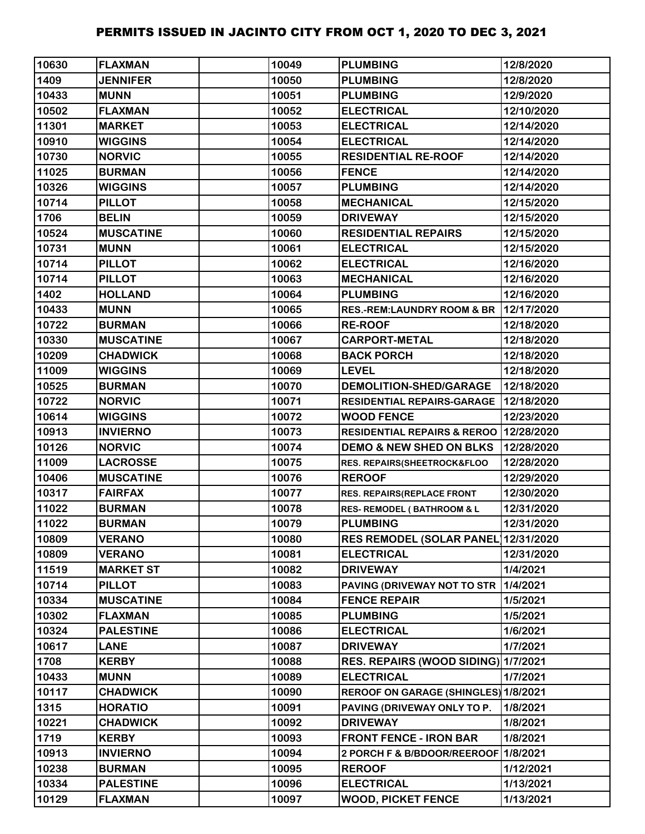| 10630 | <b>FLAXMAN</b>   | 10049 | <b>PLUMBING</b>                          | 12/8/2020  |
|-------|------------------|-------|------------------------------------------|------------|
| 1409  | <b>JENNIFER</b>  | 10050 | <b>PLUMBING</b>                          | 12/8/2020  |
| 10433 | <b>MUNN</b>      | 10051 | <b>PLUMBING</b>                          | 12/9/2020  |
| 10502 | <b>FLAXMAN</b>   | 10052 | <b>ELECTRICAL</b>                        | 12/10/2020 |
| 11301 | <b>MARKET</b>    | 10053 | <b>ELECTRICAL</b>                        | 12/14/2020 |
| 10910 | <b>WIGGINS</b>   | 10054 | <b>ELECTRICAL</b>                        | 12/14/2020 |
| 10730 | <b>NORVIC</b>    | 10055 | <b>RESIDENTIAL RE-ROOF</b>               | 12/14/2020 |
| 11025 | <b>BURMAN</b>    | 10056 | <b>FENCE</b>                             | 12/14/2020 |
| 10326 | <b>WIGGINS</b>   | 10057 | <b>PLUMBING</b>                          | 12/14/2020 |
| 10714 | <b>PILLOT</b>    | 10058 | <b>MECHANICAL</b>                        | 12/15/2020 |
| 1706  | <b>BELIN</b>     | 10059 | <b>DRIVEWAY</b>                          | 12/15/2020 |
| 10524 | <b>MUSCATINE</b> | 10060 | <b>RESIDENTIAL REPAIRS</b>               | 12/15/2020 |
| 10731 | <b>MUNN</b>      | 10061 | <b>ELECTRICAL</b>                        | 12/15/2020 |
| 10714 | <b>PILLOT</b>    | 10062 | <b>ELECTRICAL</b>                        | 12/16/2020 |
| 10714 | <b>PILLOT</b>    | 10063 | <b>MECHANICAL</b>                        | 12/16/2020 |
| 1402  | <b>HOLLAND</b>   | 10064 | <b>PLUMBING</b>                          | 12/16/2020 |
| 10433 | <b>MUNN</b>      | 10065 | <b>RES.-REM:LAUNDRY ROOM &amp; BR</b>    | 12/17/2020 |
| 10722 | <b>BURMAN</b>    | 10066 | <b>RE-ROOF</b>                           | 12/18/2020 |
| 10330 | <b>MUSCATINE</b> | 10067 | <b>CARPORT-METAL</b>                     | 12/18/2020 |
| 10209 | <b>CHADWICK</b>  | 10068 | <b>BACK PORCH</b>                        | 12/18/2020 |
| 11009 | <b>WIGGINS</b>   | 10069 | <b>LEVEL</b>                             | 12/18/2020 |
| 10525 | <b>BURMAN</b>    | 10070 | <b>DEMOLITION-SHED/GARAGE</b>            | 12/18/2020 |
| 10722 | <b>NORVIC</b>    | 10071 | <b>RESIDENTIAL REPAIRS-GARAGE</b>        | 12/18/2020 |
| 10614 | <b>WIGGINS</b>   | 10072 | <b>WOOD FENCE</b>                        | 12/23/2020 |
| 10913 | <b>INVIERNO</b>  | 10073 | RESIDENTIAL REPAIRS & REROO   12/28/2020 |            |
| 10126 | <b>NORVIC</b>    | 10074 | <b>DEMO &amp; NEW SHED ON BLKS</b>       | 12/28/2020 |
| 11009 | <b>LACROSSE</b>  | 10075 | RES. REPAIRS(SHEETROCK&FLOO              | 12/28/2020 |
| 10406 | <b>MUSCATINE</b> | 10076 | <b>REROOF</b>                            | 12/29/2020 |
| 10317 | <b>FAIRFAX</b>   | 10077 | RES. REPAIRS(REPLACE FRONT               | 12/30/2020 |
| 11022 | <b>BURMAN</b>    | 10078 | <b>RES- REMODEL (BATHROOM &amp; L</b>    | 12/31/2020 |
| 11022 | <b>BURMAN</b>    | 10079 | <b>PLUMBING</b>                          | 12/31/2020 |
| 10809 | <b>VERANO</b>    | 10080 | <b>RES REMODEL (SOLAR PANEL)</b>         | 12/31/2020 |
| 10809 | <b>VERANO</b>    | 10081 | <b>ELECTRICAL</b>                        | 12/31/2020 |
| 11519 | <b>MARKET ST</b> | 10082 | <b>DRIVEWAY</b>                          | 1/4/2021   |
| 10714 | <b>PILLOT</b>    | 10083 | PAVING (DRIVEWAY NOT TO STR              | 1/4/2021   |
| 10334 | <b>MUSCATINE</b> | 10084 | <b>FENCE REPAIR</b>                      | 1/5/2021   |
| 10302 | <b>FLAXMAN</b>   | 10085 | <b>PLUMBING</b>                          | 1/5/2021   |
| 10324 | <b>PALESTINE</b> | 10086 | <b>ELECTRICAL</b>                        | 1/6/2021   |
| 10617 | <b>LANE</b>      | 10087 | <b>DRIVEWAY</b>                          | 1/7/2021   |
| 1708  | <b>KERBY</b>     | 10088 | RES. REPAIRS (WOOD SIDING) 1/7/2021      |            |
| 10433 | <b>MUNN</b>      | 10089 | <b>ELECTRICAL</b>                        | 1/7/2021   |
| 10117 | <b>CHADWICK</b>  | 10090 | REROOF ON GARAGE (SHINGLES) 1/8/2021     |            |
| 1315  | <b>HORATIO</b>   | 10091 | PAVING (DRIVEWAY ONLY TO P.              | 1/8/2021   |
| 10221 | <b>CHADWICK</b>  | 10092 | <b>DRIVEWAY</b>                          | 1/8/2021   |
| 1719  | <b>KERBY</b>     | 10093 | <b>FRONT FENCE - IRON BAR</b>            | 1/8/2021   |
| 10913 | <b>INVIERNO</b>  | 10094 | 2 PORCH F & B/BDOOR/REEROOF 1/8/2021     |            |
| 10238 | <b>BURMAN</b>    | 10095 | <b>REROOF</b>                            | 1/12/2021  |
| 10334 | <b>PALESTINE</b> | 10096 | <b>ELECTRICAL</b>                        | 1/13/2021  |
| 10129 | <b>FLAXMAN</b>   | 10097 | <b>WOOD, PICKET FENCE</b>                | 1/13/2021  |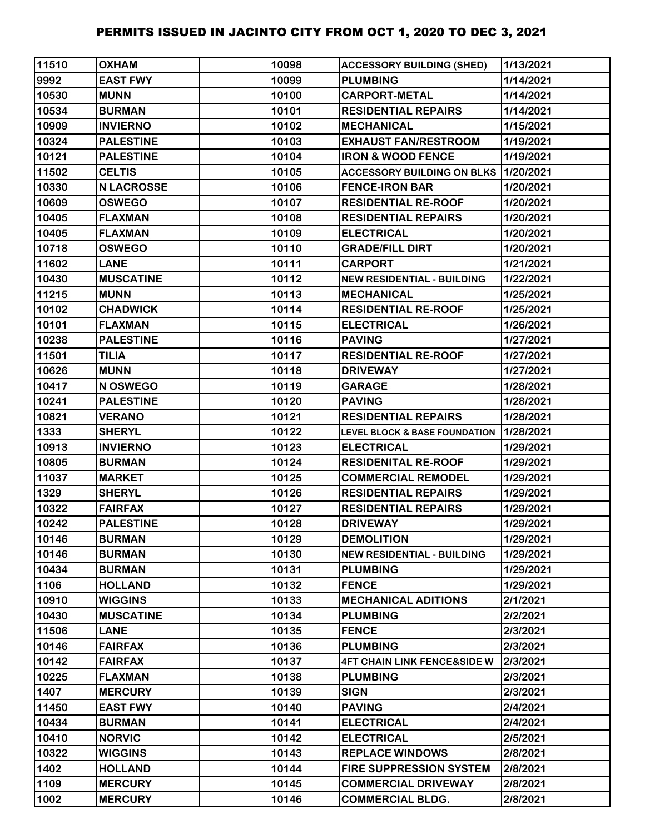| 11510 | <b>OXHAM</b>      | 10098 | <b>ACCESSORY BUILDING (SHED)</b>             | 1/13/2021 |
|-------|-------------------|-------|----------------------------------------------|-----------|
| 9992  | <b>EAST FWY</b>   | 10099 | <b>PLUMBING</b>                              | 1/14/2021 |
| 10530 | <b>MUNN</b>       | 10100 | <b>CARPORT-METAL</b>                         | 1/14/2021 |
| 10534 | <b>BURMAN</b>     | 10101 | <b>RESIDENTIAL REPAIRS</b>                   | 1/14/2021 |
| 10909 | <b>INVIERNO</b>   | 10102 | <b>MECHANICAL</b>                            | 1/15/2021 |
| 10324 | <b>PALESTINE</b>  | 10103 | <b>EXHAUST FAN/RESTROOM</b>                  | 1/19/2021 |
| 10121 | <b>PALESTINE</b>  | 10104 | <b>IRON &amp; WOOD FENCE</b>                 | 1/19/2021 |
| 11502 | <b>CELTIS</b>     | 10105 | <b>ACCESSORY BUILDING ON BLKS 11/20/2021</b> |           |
| 10330 | <b>N LACROSSE</b> | 10106 | <b>FENCE-IRON BAR</b>                        | 1/20/2021 |
| 10609 | <b>OSWEGO</b>     | 10107 | <b>RESIDENTIAL RE-ROOF</b>                   | 1/20/2021 |
| 10405 | <b>FLAXMAN</b>    | 10108 | <b>RESIDENTIAL REPAIRS</b>                   | 1/20/2021 |
| 10405 | <b>FLAXMAN</b>    | 10109 | <b>ELECTRICAL</b>                            | 1/20/2021 |
| 10718 | <b>OSWEGO</b>     | 10110 | <b>GRADE/FILL DIRT</b>                       | 1/20/2021 |
| 11602 | <b>LANE</b>       | 10111 | <b>CARPORT</b>                               | 1/21/2021 |
| 10430 | <b>MUSCATINE</b>  | 10112 | <b>NEW RESIDENTIAL - BUILDING</b>            | 1/22/2021 |
| 11215 | <b>MUNN</b>       | 10113 | <b>MECHANICAL</b>                            | 1/25/2021 |
| 10102 | <b>CHADWICK</b>   | 10114 | <b>RESIDENTIAL RE-ROOF</b>                   | 1/25/2021 |
| 10101 | <b>FLAXMAN</b>    | 10115 | <b>ELECTRICAL</b>                            | 1/26/2021 |
| 10238 | <b>PALESTINE</b>  | 10116 | <b>PAVING</b>                                | 1/27/2021 |
| 11501 | <b>TILIA</b>      | 10117 | <b>RESIDENTIAL RE-ROOF</b>                   | 1/27/2021 |
| 10626 | <b>MUNN</b>       | 10118 | <b>DRIVEWAY</b>                              | 1/27/2021 |
| 10417 | N OSWEGO          | 10119 | <b>GARAGE</b>                                | 1/28/2021 |
| 10241 | <b>PALESTINE</b>  | 10120 | <b>PAVING</b>                                | 1/28/2021 |
| 10821 | <b>VERANO</b>     | 10121 | <b>RESIDENTIAL REPAIRS</b>                   | 1/28/2021 |
| 1333  | <b>SHERYL</b>     | 10122 | LEVEL BLOCK & BASE FOUNDATION 1/28/2021      |           |
| 10913 | <b>INVIERNO</b>   | 10123 | <b>ELECTRICAL</b>                            | 1/29/2021 |
| 10805 | <b>BURMAN</b>     | 10124 | <b>RESIDENITAL RE-ROOF</b>                   | 1/29/2021 |
| 11037 | <b>MARKET</b>     | 10125 | <b>COMMERCIAL REMODEL</b>                    | 1/29/2021 |
| 1329  | <b>SHERYL</b>     | 10126 | <b>RESIDENTIAL REPAIRS</b>                   | 1/29/2021 |
| 10322 | <b>FAIRFAX</b>    | 10127 | <b>RESIDENTIAL REPAIRS</b>                   | 1/29/2021 |
| 10242 | <b>PALESTINE</b>  | 10128 | <b>DRIVEWAY</b>                              | 1/29/2021 |
| 10146 | <b>BURMAN</b>     | 10129 | <b>DEMOLITION</b>                            | 1/29/2021 |
| 10146 | <b>BURMAN</b>     | 10130 | <b>NEW RESIDENTIAL - BUILDING</b>            | 1/29/2021 |
| 10434 | <b>BURMAN</b>     | 10131 | <b>PLUMBING</b>                              | 1/29/2021 |
| 1106  | <b>HOLLAND</b>    | 10132 | <b>FENCE</b>                                 | 1/29/2021 |
| 10910 | <b>WIGGINS</b>    | 10133 | <b>MECHANICAL ADITIONS</b>                   | 2/1/2021  |
| 10430 | <b>MUSCATINE</b>  | 10134 | <b>PLUMBING</b>                              | 2/2/2021  |
| 11506 | <b>LANE</b>       | 10135 | <b>FENCE</b>                                 | 2/3/2021  |
| 10146 | <b>FAIRFAX</b>    | 10136 | <b>PLUMBING</b>                              | 2/3/2021  |
| 10142 | <b>FAIRFAX</b>    | 10137 | <b>4FT CHAIN LINK FENCE&amp;SIDE W</b>       | 2/3/2021  |
| 10225 | <b>FLAXMAN</b>    | 10138 | <b>PLUMBING</b>                              | 2/3/2021  |
| 1407  | <b>MERCURY</b>    | 10139 | <b>SIGN</b>                                  | 2/3/2021  |
| 11450 | <b>EAST FWY</b>   | 10140 | <b>PAVING</b>                                | 2/4/2021  |
| 10434 | <b>BURMAN</b>     | 10141 | <b>ELECTRICAL</b>                            | 2/4/2021  |
| 10410 | <b>NORVIC</b>     | 10142 | <b>ELECTRICAL</b>                            | 2/5/2021  |
| 10322 | <b>WIGGINS</b>    | 10143 | <b>REPLACE WINDOWS</b>                       | 2/8/2021  |
| 1402  | <b>HOLLAND</b>    | 10144 | <b>FIRE SUPPRESSION SYSTEM</b>               | 2/8/2021  |
| 1109  | <b>MERCURY</b>    | 10145 | <b>COMMERCIAL DRIVEWAY</b>                   | 2/8/2021  |
| 1002  | <b>MERCURY</b>    | 10146 | <b>COMMERCIAL BLDG.</b>                      | 2/8/2021  |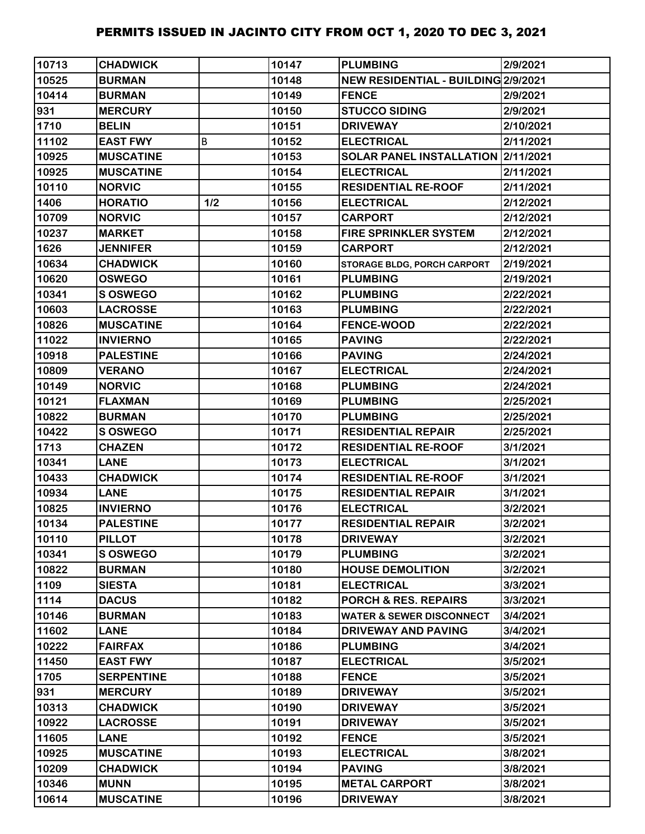| 10713 | <b>CHADWICK</b>   |     | 10147 | <b>PLUMBING</b>                     | 2/9/2021  |
|-------|-------------------|-----|-------|-------------------------------------|-----------|
| 10525 | <b>BURMAN</b>     |     | 10148 | NEW RESIDENTIAL - BUILDING 2/9/2021 |           |
| 10414 | <b>BURMAN</b>     |     | 10149 | <b>FENCE</b>                        | 2/9/2021  |
| 931   | <b>MERCURY</b>    |     | 10150 | <b>STUCCO SIDING</b>                | 2/9/2021  |
| 1710  | <b>BELIN</b>      |     | 10151 | <b>DRIVEWAY</b>                     | 2/10/2021 |
| 11102 | <b>EAST FWY</b>   | B   | 10152 | <b>ELECTRICAL</b>                   | 2/11/2021 |
| 10925 | <b>MUSCATINE</b>  |     | 10153 | SOLAR PANEL INSTALLATION 2/11/2021  |           |
| 10925 | <b>MUSCATINE</b>  |     | 10154 | <b>ELECTRICAL</b>                   | 2/11/2021 |
| 10110 | <b>NORVIC</b>     |     | 10155 | <b>RESIDENTIAL RE-ROOF</b>          | 2/11/2021 |
| 1406  | <b>HORATIO</b>    | 1/2 | 10156 | <b>ELECTRICAL</b>                   | 2/12/2021 |
| 10709 | <b>NORVIC</b>     |     | 10157 | <b>CARPORT</b>                      | 2/12/2021 |
| 10237 | <b>MARKET</b>     |     | 10158 | <b>FIRE SPRINKLER SYSTEM</b>        | 2/12/2021 |
| 1626  | <b>JENNIFER</b>   |     | 10159 | <b>CARPORT</b>                      | 2/12/2021 |
| 10634 | <b>CHADWICK</b>   |     | 10160 | <b>STORAGE BLDG, PORCH CARPORT</b>  | 2/19/2021 |
| 10620 | <b>OSWEGO</b>     |     | 10161 | <b>PLUMBING</b>                     | 2/19/2021 |
| 10341 | S OSWEGO          |     | 10162 | <b>PLUMBING</b>                     | 2/22/2021 |
| 10603 | <b>LACROSSE</b>   |     | 10163 | <b>PLUMBING</b>                     | 2/22/2021 |
| 10826 | <b>MUSCATINE</b>  |     | 10164 | <b>FENCE-WOOD</b>                   | 2/22/2021 |
| 11022 | <b>INVIERNO</b>   |     | 10165 | <b>PAVING</b>                       | 2/22/2021 |
| 10918 | <b>PALESTINE</b>  |     | 10166 | <b>PAVING</b>                       | 2/24/2021 |
| 10809 | <b>VERANO</b>     |     | 10167 | <b>ELECTRICAL</b>                   | 2/24/2021 |
| 10149 | <b>NORVIC</b>     |     | 10168 | <b>PLUMBING</b>                     | 2/24/2021 |
| 10121 | <b>FLAXMAN</b>    |     | 10169 | <b>PLUMBING</b>                     | 2/25/2021 |
| 10822 | <b>BURMAN</b>     |     | 10170 | <b>PLUMBING</b>                     | 2/25/2021 |
| 10422 | <b>S OSWEGO</b>   |     | 10171 | <b>RESIDENTIAL REPAIR</b>           | 2/25/2021 |
| 1713  | <b>CHAZEN</b>     |     | 10172 | <b>RESIDENTIAL RE-ROOF</b>          | 3/1/2021  |
| 10341 | <b>LANE</b>       |     | 10173 | <b>ELECTRICAL</b>                   | 3/1/2021  |
| 10433 | <b>CHADWICK</b>   |     | 10174 | <b>RESIDENTIAL RE-ROOF</b>          | 3/1/2021  |
| 10934 | <b>LANE</b>       |     | 10175 | <b>RESIDENTIAL REPAIR</b>           | 3/1/2021  |
| 10825 | <b>INVIERNO</b>   |     | 10176 | <b>ELECTRICAL</b>                   | 3/2/2021  |
| 10134 | <b>PALESTINE</b>  |     | 10177 | <b>RESIDENTIAL REPAIR</b>           | 3/2/2021  |
| 10110 | <b>PILLOT</b>     |     | 10178 | <b>DRIVEWAY</b>                     | 3/2/2021  |
| 10341 | <b>S OSWEGO</b>   |     | 10179 | <b>PLUMBING</b>                     | 3/2/2021  |
| 10822 | <b>BURMAN</b>     |     | 10180 | <b>HOUSE DEMOLITION</b>             | 3/2/2021  |
| 1109  | <b>SIESTA</b>     |     | 10181 | <b>ELECTRICAL</b>                   | 3/3/2021  |
| 1114  | <b>DACUS</b>      |     | 10182 | <b>PORCH &amp; RES. REPAIRS</b>     | 3/3/2021  |
| 10146 | <b>BURMAN</b>     |     | 10183 | <b>WATER &amp; SEWER DISCONNECT</b> | 3/4/2021  |
| 11602 | <b>LANE</b>       |     | 10184 | <b>DRIVEWAY AND PAVING</b>          | 3/4/2021  |
| 10222 | <b>FAIRFAX</b>    |     | 10186 | <b>PLUMBING</b>                     | 3/4/2021  |
| 11450 | <b>EAST FWY</b>   |     | 10187 | <b>ELECTRICAL</b>                   | 3/5/2021  |
| 1705  | <b>SERPENTINE</b> |     | 10188 | <b>FENCE</b>                        | 3/5/2021  |
| 931   | <b>MERCURY</b>    |     | 10189 | <b>DRIVEWAY</b>                     | 3/5/2021  |
| 10313 | <b>CHADWICK</b>   |     | 10190 | <b>DRIVEWAY</b>                     | 3/5/2021  |
| 10922 | <b>LACROSSE</b>   |     | 10191 | <b>DRIVEWAY</b>                     | 3/5/2021  |
| 11605 | <b>LANE</b>       |     | 10192 | <b>FENCE</b>                        | 3/5/2021  |
| 10925 | <b>MUSCATINE</b>  |     | 10193 | <b>ELECTRICAL</b>                   | 3/8/2021  |
| 10209 | <b>CHADWICK</b>   |     | 10194 | <b>PAVING</b>                       | 3/8/2021  |
| 10346 | <b>MUNN</b>       |     | 10195 | <b>METAL CARPORT</b>                | 3/8/2021  |
| 10614 | <b>MUSCATINE</b>  |     | 10196 | <b>DRIVEWAY</b>                     | 3/8/2021  |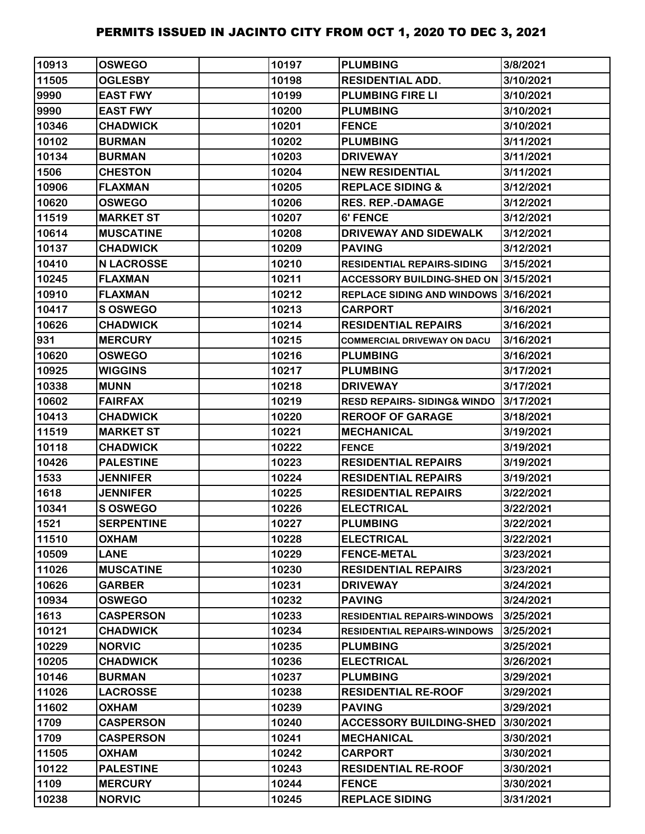| 10913 | <b>OSWEGO</b>     | 10197 | <b>PLUMBING</b>                        | 3/8/2021  |
|-------|-------------------|-------|----------------------------------------|-----------|
| 11505 | <b>OGLESBY</b>    | 10198 | <b>RESIDENTIAL ADD.</b>                | 3/10/2021 |
| 9990  | <b>EAST FWY</b>   | 10199 | <b>PLUMBING FIRE LI</b>                | 3/10/2021 |
| 9990  | <b>EAST FWY</b>   | 10200 | <b>PLUMBING</b>                        | 3/10/2021 |
| 10346 | <b>CHADWICK</b>   | 10201 | <b>FENCE</b>                           | 3/10/2021 |
| 10102 | <b>BURMAN</b>     | 10202 | <b>PLUMBING</b>                        | 3/11/2021 |
| 10134 | <b>BURMAN</b>     | 10203 | <b>DRIVEWAY</b>                        | 3/11/2021 |
| 1506  | <b>CHESTON</b>    | 10204 | <b>NEW RESIDENTIAL</b>                 | 3/11/2021 |
| 10906 | <b>FLAXMAN</b>    | 10205 | <b>REPLACE SIDING &amp;</b>            | 3/12/2021 |
| 10620 | <b>OSWEGO</b>     | 10206 | <b>RES. REP.-DAMAGE</b>                | 3/12/2021 |
| 11519 | <b>MARKET ST</b>  | 10207 | <b>6' FENCE</b>                        | 3/12/2021 |
| 10614 | <b>MUSCATINE</b>  | 10208 | DRIVEWAY AND SIDEWALK                  | 3/12/2021 |
| 10137 | <b>CHADWICK</b>   | 10209 | <b>PAVING</b>                          | 3/12/2021 |
| 10410 | <b>N LACROSSE</b> | 10210 | <b>RESIDENTIAL REPAIRS-SIDING</b>      | 3/15/2021 |
| 10245 | <b>FLAXMAN</b>    | 10211 | ACCESSORY BUILDING-SHED ON 3/15/2021   |           |
| 10910 | <b>FLAXMAN</b>    | 10212 | REPLACE SIDING AND WINDOWS 3/16/2021   |           |
| 10417 | S OSWEGO          | 10213 | <b>CARPORT</b>                         | 3/16/2021 |
| 10626 | <b>CHADWICK</b>   | 10214 | <b>RESIDENTIAL REPAIRS</b>             | 3/16/2021 |
| 931   | <b>MERCURY</b>    | 10215 | <b>COMMERCIAL DRIVEWAY ON DACU</b>     | 3/16/2021 |
| 10620 | <b>OSWEGO</b>     | 10216 | <b>PLUMBING</b>                        | 3/16/2021 |
| 10925 | <b>WIGGINS</b>    | 10217 | <b>PLUMBING</b>                        | 3/17/2021 |
| 10338 | <b>MUNN</b>       | 10218 | <b>DRIVEWAY</b>                        | 3/17/2021 |
| 10602 | <b>FAIRFAX</b>    | 10219 | <b>RESD REPAIRS- SIDING&amp; WINDO</b> | 3/17/2021 |
| 10413 | <b>CHADWICK</b>   | 10220 | <b>REROOF OF GARAGE</b>                | 3/18/2021 |
| 11519 | <b>MARKET ST</b>  | 10221 | <b>MECHANICAL</b>                      | 3/19/2021 |
| 10118 | <b>CHADWICK</b>   | 10222 | <b>FENCE</b>                           | 3/19/2021 |
| 10426 | <b>PALESTINE</b>  | 10223 | <b>RESIDENTIAL REPAIRS</b>             | 3/19/2021 |
| 1533  | <b>JENNIFER</b>   | 10224 | <b>RESIDENTIAL REPAIRS</b>             | 3/19/2021 |
| 1618  | <b>JENNIFER</b>   | 10225 | <b>RESIDENTIAL REPAIRS</b>             | 3/22/2021 |
| 10341 | <b>S OSWEGO</b>   | 10226 | <b>ELECTRICAL</b>                      | 3/22/2021 |
| 1521  | <b>SERPENTINE</b> | 10227 | <b>PLUMBING</b>                        | 3/22/2021 |
| 11510 | <b>OXHAM</b>      | 10228 | <b>ELECTRICAL</b>                      | 3/22/2021 |
| 10509 | <b>LANE</b>       | 10229 | <b>FENCE-METAL</b>                     | 3/23/2021 |
| 11026 | <b>MUSCATINE</b>  | 10230 | <b>RESIDENTIAL REPAIRS</b>             | 3/23/2021 |
| 10626 | <b>GARBER</b>     | 10231 | <b>DRIVEWAY</b>                        | 3/24/2021 |
| 10934 | <b>OSWEGO</b>     | 10232 | <b>PAVING</b>                          | 3/24/2021 |
| 1613  | <b>CASPERSON</b>  | 10233 | <b>RESIDENTIAL REPAIRS-WINDOWS</b>     | 3/25/2021 |
| 10121 | <b>CHADWICK</b>   | 10234 | <b>RESIDENTIAL REPAIRS-WINDOWS</b>     | 3/25/2021 |
| 10229 | <b>NORVIC</b>     | 10235 | <b>PLUMBING</b>                        | 3/25/2021 |
| 10205 | <b>CHADWICK</b>   | 10236 | <b>ELECTRICAL</b>                      | 3/26/2021 |
| 10146 | <b>BURMAN</b>     | 10237 | <b>PLUMBING</b>                        | 3/29/2021 |
| 11026 | <b>LACROSSE</b>   | 10238 | <b>RESIDENTIAL RE-ROOF</b>             | 3/29/2021 |
| 11602 | <b>OXHAM</b>      | 10239 | <b>PAVING</b>                          | 3/29/2021 |
| 1709  | <b>CASPERSON</b>  | 10240 | <b>ACCESSORY BUILDING-SHED</b>         | 3/30/2021 |
| 1709  | <b>CASPERSON</b>  | 10241 | <b>MECHANICAL</b>                      | 3/30/2021 |
| 11505 | <b>OXHAM</b>      | 10242 | <b>CARPORT</b>                         | 3/30/2021 |
| 10122 | <b>PALESTINE</b>  | 10243 | <b>RESIDENTIAL RE-ROOF</b>             | 3/30/2021 |
| 1109  | <b>MERCURY</b>    | 10244 | <b>FENCE</b>                           | 3/30/2021 |
| 10238 | <b>NORVIC</b>     | 10245 | <b>REPLACE SIDING</b>                  | 3/31/2021 |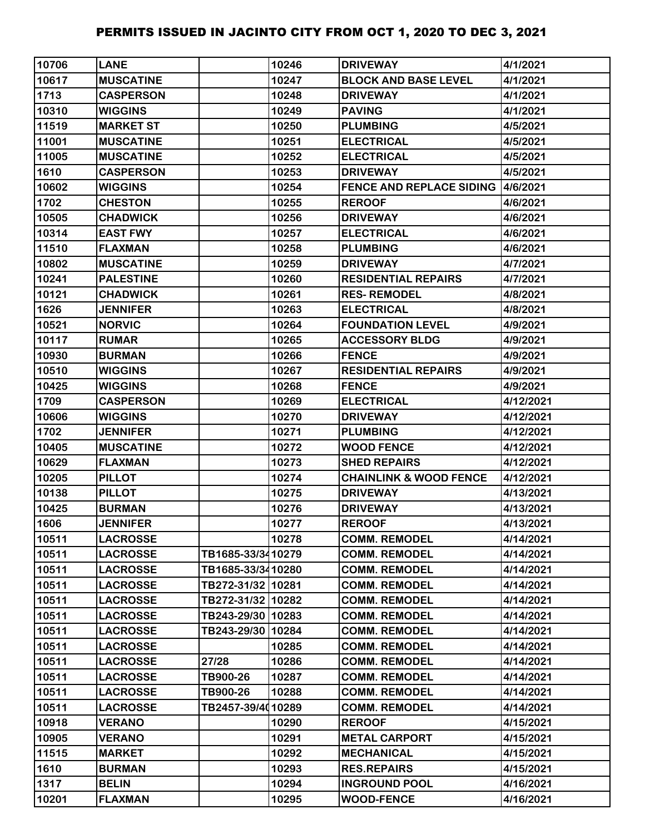| 10706 | <b>LANE</b>      |                   | 10246 | <b>DRIVEWAY</b>                          | 4/1/2021  |
|-------|------------------|-------------------|-------|------------------------------------------|-----------|
| 10617 | <b>MUSCATINE</b> |                   | 10247 | <b>BLOCK AND BASE LEVEL</b>              | 4/1/2021  |
| 1713  | <b>CASPERSON</b> |                   | 10248 | <b>DRIVEWAY</b>                          | 4/1/2021  |
| 10310 | <b>WIGGINS</b>   |                   | 10249 | <b>PAVING</b>                            | 4/1/2021  |
| 11519 | <b>MARKET ST</b> |                   | 10250 | <b>PLUMBING</b>                          | 4/5/2021  |
| 11001 | <b>MUSCATINE</b> |                   | 10251 | <b>ELECTRICAL</b>                        | 4/5/2021  |
| 11005 | <b>MUSCATINE</b> |                   | 10252 | <b>ELECTRICAL</b>                        | 4/5/2021  |
| 1610  | <b>CASPERSON</b> |                   | 10253 | <b>DRIVEWAY</b>                          | 4/5/2021  |
| 10602 | <b>WIGGINS</b>   |                   | 10254 | <b>FENCE AND REPLACE SIDING 4/6/2021</b> |           |
| 1702  | <b>CHESTON</b>   |                   | 10255 | <b>REROOF</b>                            | 4/6/2021  |
| 10505 | <b>CHADWICK</b>  |                   | 10256 | <b>DRIVEWAY</b>                          | 4/6/2021  |
| 10314 | <b>EAST FWY</b>  |                   | 10257 | <b>ELECTRICAL</b>                        | 4/6/2021  |
| 11510 | <b>FLAXMAN</b>   |                   | 10258 | <b>PLUMBING</b>                          | 4/6/2021  |
| 10802 | <b>MUSCATINE</b> |                   | 10259 | <b>DRIVEWAY</b>                          | 4/7/2021  |
| 10241 | <b>PALESTINE</b> |                   | 10260 | <b>RESIDENTIAL REPAIRS</b>               | 4/7/2021  |
| 10121 | <b>CHADWICK</b>  |                   | 10261 | <b>RES-REMODEL</b>                       | 4/8/2021  |
| 1626  | <b>JENNIFER</b>  |                   | 10263 | <b>ELECTRICAL</b>                        | 4/8/2021  |
| 10521 | <b>NORVIC</b>    |                   | 10264 | <b>FOUNDATION LEVEL</b>                  | 4/9/2021  |
| 10117 | <b>RUMAR</b>     |                   | 10265 | <b>ACCESSORY BLDG</b>                    | 4/9/2021  |
| 10930 | <b>BURMAN</b>    |                   | 10266 | <b>FENCE</b>                             | 4/9/2021  |
| 10510 | <b>WIGGINS</b>   |                   | 10267 | <b>RESIDENTIAL REPAIRS</b>               | 4/9/2021  |
| 10425 | <b>WIGGINS</b>   |                   | 10268 | <b>FENCE</b>                             | 4/9/2021  |
| 1709  | <b>CASPERSON</b> |                   | 10269 | <b>ELECTRICAL</b>                        | 4/12/2021 |
| 10606 | <b>WIGGINS</b>   |                   | 10270 | <b>DRIVEWAY</b>                          | 4/12/2021 |
| 1702  | <b>JENNIFER</b>  |                   | 10271 | <b>PLUMBING</b>                          | 4/12/2021 |
| 10405 | <b>MUSCATINE</b> |                   | 10272 | <b>WOOD FENCE</b>                        | 4/12/2021 |
| 10629 | <b>FLAXMAN</b>   |                   | 10273 | <b>SHED REPAIRS</b>                      | 4/12/2021 |
| 10205 | <b>PILLOT</b>    |                   | 10274 | <b>CHAINLINK &amp; WOOD FENCE</b>        | 4/12/2021 |
| 10138 | <b>PILLOT</b>    |                   | 10275 | <b>DRIVEWAY</b>                          | 4/13/2021 |
| 10425 | <b>BURMAN</b>    |                   | 10276 | <b>DRIVEWAY</b>                          | 4/13/2021 |
| 1606  | <b>JENNIFER</b>  |                   | 10277 | <b>REROOF</b>                            | 4/13/2021 |
| 10511 | <b>LACROSSE</b>  |                   | 10278 | <b>COMM. REMODEL</b>                     | 4/14/2021 |
| 10511 | <b>LACROSSE</b>  | TB1685-33/3410279 |       | <b>COMM. REMODEL</b>                     | 4/14/2021 |
| 10511 | <b>LACROSSE</b>  | TB1685-33/3410280 |       | <b>COMM. REMODEL</b>                     | 4/14/2021 |
| 10511 | <b>LACROSSE</b>  | TB272-31/32 10281 |       | <b>COMM. REMODEL</b>                     | 4/14/2021 |
| 10511 | <b>LACROSSE</b>  | TB272-31/32 10282 |       | <b>COMM. REMODEL</b>                     | 4/14/2021 |
| 10511 | <b>LACROSSE</b>  | TB243-29/30 10283 |       | <b>COMM. REMODEL</b>                     | 4/14/2021 |
| 10511 | <b>LACROSSE</b>  | TB243-29/30 10284 |       | <b>COMM. REMODEL</b>                     | 4/14/2021 |
| 10511 | <b>LACROSSE</b>  |                   | 10285 | <b>COMM. REMODEL</b>                     | 4/14/2021 |
| 10511 | <b>LACROSSE</b>  | 27/28             | 10286 | <b>COMM. REMODEL</b>                     | 4/14/2021 |
| 10511 | <b>LACROSSE</b>  | TB900-26          | 10287 | <b>COMM. REMODEL</b>                     | 4/14/2021 |
| 10511 | <b>LACROSSE</b>  | TB900-26          | 10288 | <b>COMM. REMODEL</b>                     | 4/14/2021 |
| 10511 | <b>LACROSSE</b>  | TB2457-39/4010289 |       | <b>COMM. REMODEL</b>                     | 4/14/2021 |
| 10918 | <b>VERANO</b>    |                   | 10290 | <b>REROOF</b>                            | 4/15/2021 |
| 10905 | <b>VERANO</b>    |                   | 10291 | <b>METAL CARPORT</b>                     | 4/15/2021 |
| 11515 | <b>MARKET</b>    |                   | 10292 | <b>MECHANICAL</b>                        | 4/15/2021 |
| 1610  | <b>BURMAN</b>    |                   | 10293 | <b>RES.REPAIRS</b>                       | 4/15/2021 |
| 1317  | <b>BELIN</b>     |                   | 10294 | <b>INGROUND POOL</b>                     | 4/16/2021 |
| 10201 | <b>FLAXMAN</b>   |                   | 10295 | <b>WOOD-FENCE</b>                        | 4/16/2021 |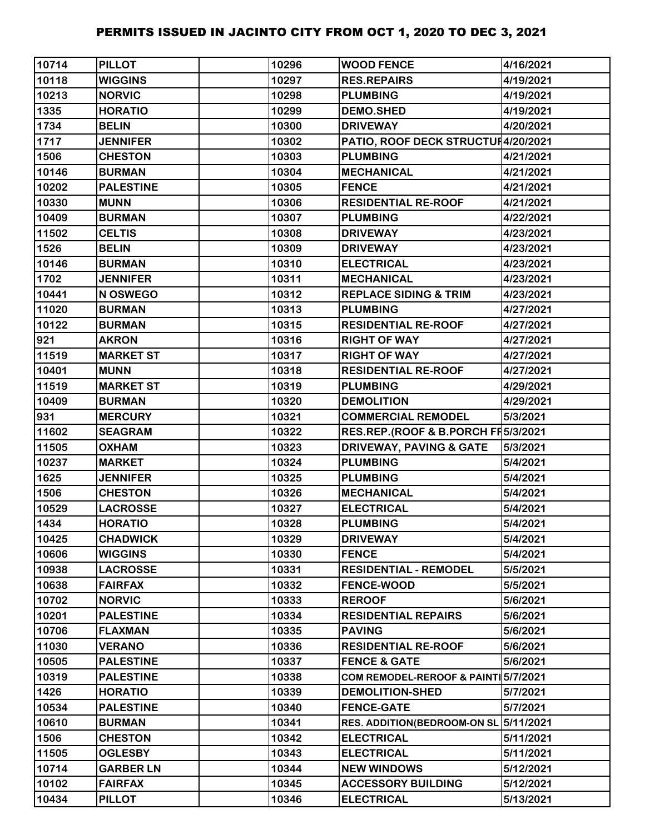| 10714 | <b>PILLOT</b>    | 10296 | <b>WOOD FENCE</b>                   | 4/16/2021 |
|-------|------------------|-------|-------------------------------------|-----------|
| 10118 | <b>WIGGINS</b>   | 10297 | <b>RES.REPAIRS</b>                  | 4/19/2021 |
| 10213 | <b>NORVIC</b>    | 10298 | <b>PLUMBING</b>                     | 4/19/2021 |
| 1335  | <b>HORATIO</b>   | 10299 | <b>DEMO.SHED</b>                    | 4/19/2021 |
| 1734  | <b>BELIN</b>     | 10300 | <b>DRIVEWAY</b>                     | 4/20/2021 |
| 1717  | <b>JENNIFER</b>  | 10302 | PATIO, ROOF DECK STRUCTUI4/20/2021  |           |
| 1506  | <b>CHESTON</b>   | 10303 | <b>PLUMBING</b>                     | 4/21/2021 |
| 10146 | <b>BURMAN</b>    | 10304 | <b>MECHANICAL</b>                   | 4/21/2021 |
| 10202 | <b>PALESTINE</b> | 10305 | <b>FENCE</b>                        | 4/21/2021 |
| 10330 | <b>MUNN</b>      | 10306 | <b>RESIDENTIAL RE-ROOF</b>          | 4/21/2021 |
| 10409 | <b>BURMAN</b>    | 10307 | <b>PLUMBING</b>                     | 4/22/2021 |
| 11502 | <b>CELTIS</b>    | 10308 | <b>DRIVEWAY</b>                     | 4/23/2021 |
| 1526  | <b>BELIN</b>     | 10309 | <b>DRIVEWAY</b>                     | 4/23/2021 |
| 10146 | <b>BURMAN</b>    | 10310 | <b>ELECTRICAL</b>                   | 4/23/2021 |
| 1702  | <b>JENNIFER</b>  | 10311 | <b>MECHANICAL</b>                   | 4/23/2021 |
| 10441 | N OSWEGO         | 10312 | <b>REPLACE SIDING &amp; TRIM</b>    | 4/23/2021 |
| 11020 | <b>BURMAN</b>    | 10313 | <b>PLUMBING</b>                     | 4/27/2021 |
| 10122 | <b>BURMAN</b>    | 10315 | <b>RESIDENTIAL RE-ROOF</b>          | 4/27/2021 |
| 921   | <b>AKRON</b>     | 10316 | <b>RIGHT OF WAY</b>                 | 4/27/2021 |
| 11519 | <b>MARKET ST</b> | 10317 | <b>RIGHT OF WAY</b>                 | 4/27/2021 |
| 10401 | <b>MUNN</b>      | 10318 | <b>RESIDENTIAL RE-ROOF</b>          | 4/27/2021 |
| 11519 | <b>MARKET ST</b> | 10319 | <b>PLUMBING</b>                     | 4/29/2021 |
| 10409 | <b>BURMAN</b>    | 10320 | <b>DEMOLITION</b>                   | 4/29/2021 |
| 931   | <b>MERCURY</b>   | 10321 | <b>COMMERCIAL REMODEL</b>           | 5/3/2021  |
| 11602 | <b>SEAGRAM</b>   | 10322 | RES.REP.(ROOF & B.PORCH FI 5/3/2021 |           |
| 11505 | <b>OXHAM</b>     | 10323 | <b>DRIVEWAY, PAVING &amp; GATE</b>  | 5/3/2021  |
| 10237 | <b>MARKET</b>    | 10324 | <b>PLUMBING</b>                     | 5/4/2021  |
| 1625  | <b>JENNIFER</b>  | 10325 | <b>PLUMBING</b>                     | 5/4/2021  |
| 1506  | <b>CHESTON</b>   | 10326 | <b>MECHANICAL</b>                   | 5/4/2021  |
| 10529 | <b>LACROSSE</b>  | 10327 | <b>ELECTRICAL</b>                   | 5/4/2021  |
| 1434  | <b>HORATIO</b>   | 10328 | <b>PLUMBING</b>                     | 5/4/2021  |
| 10425 | <b>CHADWICK</b>  | 10329 | <b>DRIVEWAY</b>                     | 5/4/2021  |
| 10606 | <b>WIGGINS</b>   | 10330 | <b>FENCE</b>                        | 5/4/2021  |
| 10938 | <b>LACROSSE</b>  | 10331 | <b>RESIDENTIAL - REMODEL</b>        | 5/5/2021  |
| 10638 | <b>FAIRFAX</b>   | 10332 | <b>FENCE-WOOD</b>                   | 5/5/2021  |
| 10702 | <b>NORVIC</b>    | 10333 | <b>REROOF</b>                       | 5/6/2021  |
| 10201 | <b>PALESTINE</b> | 10334 | <b>RESIDENTIAL REPAIRS</b>          | 5/6/2021  |
| 10706 | <b>FLAXMAN</b>   | 10335 | <b>PAVING</b>                       | 5/6/2021  |
| 11030 | <b>VERANO</b>    | 10336 | <b>RESIDENTIAL RE-ROOF</b>          | 5/6/2021  |
| 10505 | <b>PALESTINE</b> | 10337 | <b>FENCE &amp; GATE</b>             | 5/6/2021  |
| 10319 | <b>PALESTINE</b> | 10338 | COM REMODEL-REROOF & PAINT 5/7/2021 |           |
| 1426  | <b>HORATIO</b>   | 10339 | <b>DEMOLITION-SHED</b>              | 5/7/2021  |
| 10534 | <b>PALESTINE</b> | 10340 | <b>FENCE-GATE</b>                   | 5/7/2021  |
| 10610 | <b>BURMAN</b>    | 10341 | <b>RES. ADDITION(BEDROOM-ON SL</b>  | 5/11/2021 |
| 1506  | <b>CHESTON</b>   | 10342 | <b>ELECTRICAL</b>                   | 5/11/2021 |
| 11505 | <b>OGLESBY</b>   | 10343 | <b>ELECTRICAL</b>                   | 5/11/2021 |
| 10714 | <b>GARBER LN</b> | 10344 | <b>NEW WINDOWS</b>                  | 5/12/2021 |
| 10102 | <b>FAIRFAX</b>   | 10345 | <b>ACCESSORY BUILDING</b>           | 5/12/2021 |
| 10434 | <b>PILLOT</b>    | 10346 | <b>ELECTRICAL</b>                   | 5/13/2021 |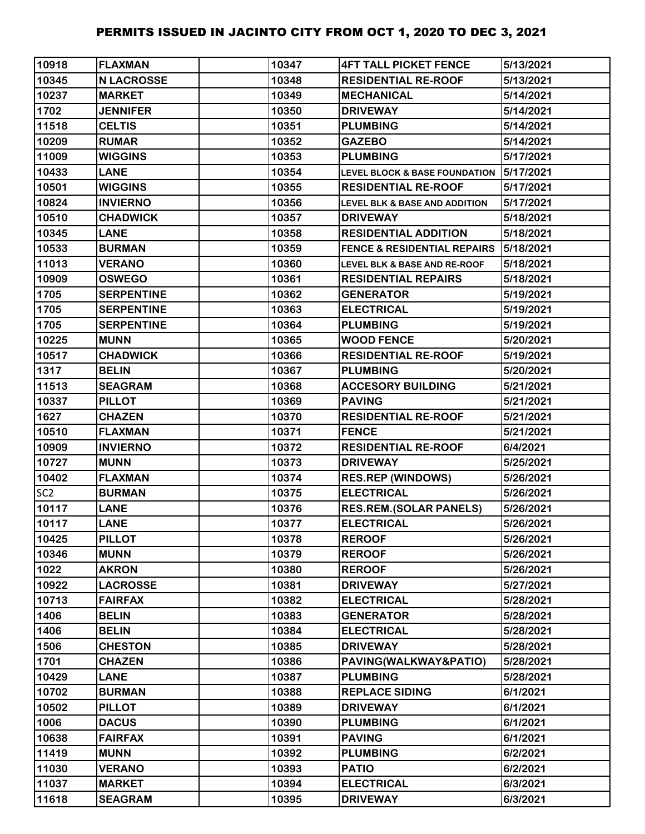| 10918           | <b>FLAXMAN</b>    | 10347 | <b>4FT TALL PICKET FENCE</b>             | 5/13/2021 |
|-----------------|-------------------|-------|------------------------------------------|-----------|
| 10345           | <b>N LACROSSE</b> | 10348 | <b>RESIDENTIAL RE-ROOF</b>               | 5/13/2021 |
| 10237           | <b>MARKET</b>     | 10349 | <b>MECHANICAL</b>                        | 5/14/2021 |
| 1702            | <b>JENNIFER</b>   | 10350 | <b>DRIVEWAY</b>                          | 5/14/2021 |
| 11518           | <b>CELTIS</b>     | 10351 | <b>PLUMBING</b>                          | 5/14/2021 |
| 10209           | <b>RUMAR</b>      | 10352 | <b>GAZEBO</b>                            | 5/14/2021 |
| 11009           | <b>WIGGINS</b>    | 10353 | <b>PLUMBING</b>                          | 5/17/2021 |
| 10433           | <b>LANE</b>       | 10354 | <b>LEVEL BLOCK &amp; BASE FOUNDATION</b> | 5/17/2021 |
| 10501           | <b>WIGGINS</b>    | 10355 | <b>RESIDENTIAL RE-ROOF</b>               | 5/17/2021 |
| 10824           | <b>INVIERNO</b>   | 10356 | <b>LEVEL BLK &amp; BASE AND ADDITION</b> | 5/17/2021 |
| 10510           | <b>CHADWICK</b>   | 10357 | <b>DRIVEWAY</b>                          | 5/18/2021 |
| 10345           | <b>LANE</b>       | 10358 | <b>RESIDENTIAL ADDITION</b>              | 5/18/2021 |
| 10533           | <b>BURMAN</b>     | 10359 | <b>FENCE &amp; RESIDENTIAL REPAIRS</b>   | 5/18/2021 |
| 11013           | <b>VERANO</b>     | 10360 | <b>LEVEL BLK &amp; BASE AND RE-ROOF</b>  | 5/18/2021 |
| 10909           | <b>OSWEGO</b>     | 10361 | <b>RESIDENTIAL REPAIRS</b>               | 5/18/2021 |
| 1705            | <b>SERPENTINE</b> | 10362 | <b>GENERATOR</b>                         | 5/19/2021 |
| 1705            | <b>SERPENTINE</b> | 10363 | <b>ELECTRICAL</b>                        | 5/19/2021 |
| 1705            | <b>SERPENTINE</b> | 10364 | <b>PLUMBING</b>                          | 5/19/2021 |
| 10225           | <b>MUNN</b>       | 10365 | <b>WOOD FENCE</b>                        | 5/20/2021 |
| 10517           | <b>CHADWICK</b>   | 10366 | <b>RESIDENTIAL RE-ROOF</b>               | 5/19/2021 |
| 1317            | <b>BELIN</b>      | 10367 | <b>PLUMBING</b>                          | 5/20/2021 |
| 11513           | <b>SEAGRAM</b>    | 10368 | <b>ACCESORY BUILDING</b>                 | 5/21/2021 |
| 10337           | <b>PILLOT</b>     | 10369 | <b>PAVING</b>                            | 5/21/2021 |
| 1627            | <b>CHAZEN</b>     | 10370 | <b>RESIDENTIAL RE-ROOF</b>               | 5/21/2021 |
| 10510           | <b>FLAXMAN</b>    | 10371 | <b>FENCE</b>                             | 5/21/2021 |
| 10909           | <b>INVIERNO</b>   | 10372 | <b>RESIDENTIAL RE-ROOF</b>               | 6/4/2021  |
| 10727           | <b>MUNN</b>       | 10373 | <b>DRIVEWAY</b>                          | 5/25/2021 |
| 10402           | <b>FLAXMAN</b>    | 10374 | <b>RES.REP (WINDOWS)</b>                 | 5/26/2021 |
| SC <sub>2</sub> | <b>BURMAN</b>     | 10375 | <b>ELECTRICAL</b>                        | 5/26/2021 |
| 10117           | <b>LANE</b>       | 10376 | <b>RES.REM.(SOLAR PANELS)</b>            | 5/26/2021 |
| 10117           | <b>LANE</b>       | 10377 | <b>ELECTRICAL</b>                        | 5/26/2021 |
| 10425           | <b>PILLOT</b>     | 10378 | <b>REROOF</b>                            | 5/26/2021 |
| 10346           | <b>MUNN</b>       | 10379 | <b>REROOF</b>                            | 5/26/2021 |
| 1022            | <b>AKRON</b>      | 10380 | <b>REROOF</b>                            | 5/26/2021 |
| 10922           | <b>LACROSSE</b>   | 10381 | <b>DRIVEWAY</b>                          | 5/27/2021 |
| 10713           | <b>FAIRFAX</b>    | 10382 | <b>ELECTRICAL</b>                        | 5/28/2021 |
| 1406            | <b>BELIN</b>      | 10383 | <b>GENERATOR</b>                         | 5/28/2021 |
| 1406            | <b>BELIN</b>      | 10384 | <b>ELECTRICAL</b>                        | 5/28/2021 |
| 1506            | <b>CHESTON</b>    | 10385 | <b>DRIVEWAY</b>                          | 5/28/2021 |
| 1701            | <b>CHAZEN</b>     | 10386 | PAVING(WALKWAY&PATIO)                    | 5/28/2021 |
| 10429           | <b>LANE</b>       | 10387 | <b>PLUMBING</b>                          | 5/28/2021 |
| 10702           | <b>BURMAN</b>     | 10388 | <b>REPLACE SIDING</b>                    | 6/1/2021  |
| 10502           | <b>PILLOT</b>     | 10389 | <b>DRIVEWAY</b>                          | 6/1/2021  |
| 1006            | <b>DACUS</b>      | 10390 | <b>PLUMBING</b>                          | 6/1/2021  |
| 10638           | <b>FAIRFAX</b>    | 10391 | <b>PAVING</b>                            | 6/1/2021  |
| 11419           | <b>MUNN</b>       | 10392 | <b>PLUMBING</b>                          | 6/2/2021  |
| 11030           | <b>VERANO</b>     | 10393 | <b>PATIO</b>                             | 6/2/2021  |
| 11037           | <b>MARKET</b>     | 10394 | <b>ELECTRICAL</b>                        | 6/3/2021  |
| 11618           | <b>SEAGRAM</b>    | 10395 | <b>DRIVEWAY</b>                          | 6/3/2021  |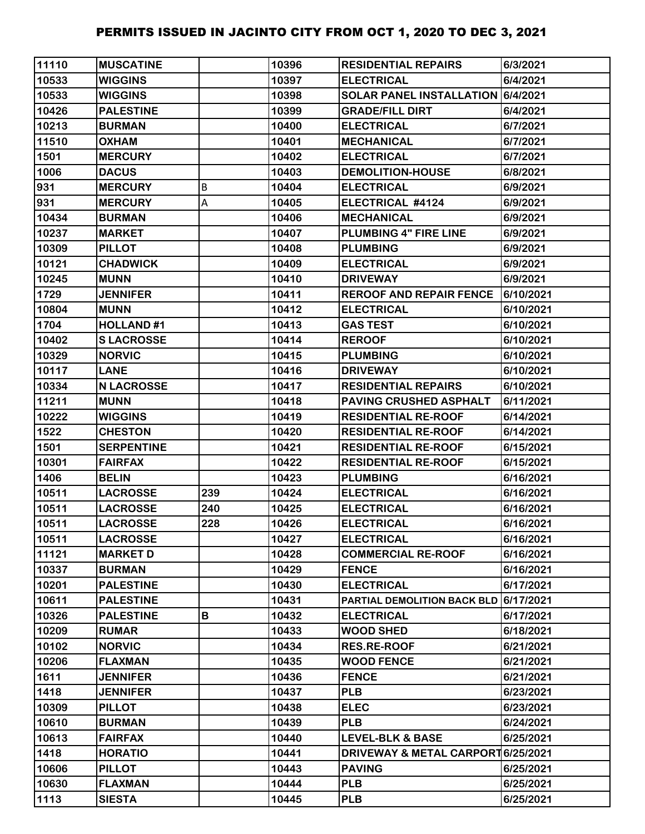| 11110 | <b>MUSCATINE</b>  |     | 10396 | <b>RESIDENTIAL REPAIRS</b>            | 6/3/2021  |
|-------|-------------------|-----|-------|---------------------------------------|-----------|
| 10533 | <b>WIGGINS</b>    |     | 10397 | <b>ELECTRICAL</b>                     | 6/4/2021  |
| 10533 | <b>WIGGINS</b>    |     | 10398 | SOLAR PANEL INSTALLATION 6/4/2021     |           |
| 10426 | <b>PALESTINE</b>  |     | 10399 | <b>GRADE/FILL DIRT</b>                | 6/4/2021  |
| 10213 | <b>BURMAN</b>     |     | 10400 | <b>ELECTRICAL</b>                     | 6/7/2021  |
| 11510 | <b>OXHAM</b>      |     | 10401 | <b>MECHANICAL</b>                     | 6/7/2021  |
| 1501  | <b>MERCURY</b>    |     | 10402 | <b>ELECTRICAL</b>                     | 6/7/2021  |
| 1006  | <b>DACUS</b>      |     | 10403 | <b>DEMOLITION-HOUSE</b>               | 6/8/2021  |
| 931   | <b>MERCURY</b>    | B   | 10404 | <b>ELECTRICAL</b>                     | 6/9/2021  |
| 931   | <b>MERCURY</b>    | А   | 10405 | ELECTRICAL #4124                      | 6/9/2021  |
| 10434 | <b>BURMAN</b>     |     | 10406 | <b>MECHANICAL</b>                     | 6/9/2021  |
| 10237 | <b>MARKET</b>     |     | 10407 | <b>PLUMBING 4" FIRE LINE</b>          | 6/9/2021  |
| 10309 | <b>PILLOT</b>     |     | 10408 | <b>PLUMBING</b>                       | 6/9/2021  |
| 10121 | <b>CHADWICK</b>   |     | 10409 | <b>ELECTRICAL</b>                     | 6/9/2021  |
| 10245 | <b>MUNN</b>       |     | 10410 | <b>DRIVEWAY</b>                       | 6/9/2021  |
| 1729  | <b>JENNIFER</b>   |     | 10411 | <b>REROOF AND REPAIR FENCE</b>        | 6/10/2021 |
| 10804 | <b>MUNN</b>       |     | 10412 | <b>ELECTRICAL</b>                     | 6/10/2021 |
| 1704  | <b>HOLLAND#1</b>  |     | 10413 | <b>GAS TEST</b>                       | 6/10/2021 |
| 10402 | <b>SLACROSSE</b>  |     | 10414 | <b>REROOF</b>                         | 6/10/2021 |
| 10329 | <b>NORVIC</b>     |     | 10415 | <b>PLUMBING</b>                       | 6/10/2021 |
| 10117 | <b>LANE</b>       |     | 10416 | <b>DRIVEWAY</b>                       | 6/10/2021 |
| 10334 | <b>N LACROSSE</b> |     | 10417 | <b>RESIDENTIAL REPAIRS</b>            | 6/10/2021 |
| 11211 | <b>MUNN</b>       |     | 10418 | PAVING CRUSHED ASPHALT                | 6/11/2021 |
| 10222 | <b>WIGGINS</b>    |     | 10419 | <b>RESIDENTIAL RE-ROOF</b>            | 6/14/2021 |
| 1522  | <b>CHESTON</b>    |     | 10420 | <b>RESIDENTIAL RE-ROOF</b>            | 6/14/2021 |
| 1501  | <b>SERPENTINE</b> |     | 10421 | <b>RESIDENTIAL RE-ROOF</b>            | 6/15/2021 |
| 10301 | <b>FAIRFAX</b>    |     | 10422 | <b>RESIDENTIAL RE-ROOF</b>            | 6/15/2021 |
| 1406  | <b>BELIN</b>      |     | 10423 | <b>PLUMBING</b>                       | 6/16/2021 |
| 10511 | <b>LACROSSE</b>   | 239 | 10424 | <b>ELECTRICAL</b>                     | 6/16/2021 |
| 10511 | <b>LACROSSE</b>   | 240 | 10425 | <b>ELECTRICAL</b>                     | 6/16/2021 |
| 10511 | <b>LACROSSE</b>   | 228 | 10426 | <b>ELECTRICAL</b>                     | 6/16/2021 |
| 10511 | <b>LACROSSE</b>   |     | 10427 | <b>ELECTRICAL</b>                     | 6/16/2021 |
| 11121 | <b>MARKET D</b>   |     | 10428 | <b>COMMERCIAL RE-ROOF</b>             | 6/16/2021 |
| 10337 | <b>BURMAN</b>     |     | 10429 | <b>FENCE</b>                          | 6/16/2021 |
| 10201 | <b>PALESTINE</b>  |     | 10430 | <b>ELECTRICAL</b>                     | 6/17/2021 |
| 10611 | <b>PALESTINE</b>  |     | 10431 | PARTIAL DEMOLITION BACK BLD 6/17/2021 |           |
| 10326 | <b>PALESTINE</b>  | В   | 10432 | <b>ELECTRICAL</b>                     | 6/17/2021 |
| 10209 | <b>RUMAR</b>      |     | 10433 | <b>WOOD SHED</b>                      | 6/18/2021 |
| 10102 | <b>NORVIC</b>     |     | 10434 | <b>RES.RE-ROOF</b>                    | 6/21/2021 |
| 10206 | <b>FLAXMAN</b>    |     | 10435 | <b>WOOD FENCE</b>                     | 6/21/2021 |
| 1611  | <b>JENNIFER</b>   |     | 10436 | <b>FENCE</b>                          | 6/21/2021 |
| 1418  | <b>JENNIFER</b>   |     | 10437 | <b>PLB</b>                            | 6/23/2021 |
| 10309 | <b>PILLOT</b>     |     | 10438 | <b>ELEC</b>                           | 6/23/2021 |
| 10610 | <b>BURMAN</b>     |     | 10439 | <b>PLB</b>                            | 6/24/2021 |
| 10613 | <b>FAIRFAX</b>    |     | 10440 | <b>LEVEL-BLK &amp; BASE</b>           | 6/25/2021 |
| 1418  | <b>HORATIO</b>    |     | 10441 | DRIVEWAY & METAL CARPORT 6/25/2021    |           |
| 10606 | <b>PILLOT</b>     |     | 10443 | <b>PAVING</b>                         | 6/25/2021 |
| 10630 | <b>FLAXMAN</b>    |     | 10444 | <b>PLB</b>                            | 6/25/2021 |
| 1113  | <b>SIESTA</b>     |     | 10445 | <b>PLB</b>                            | 6/25/2021 |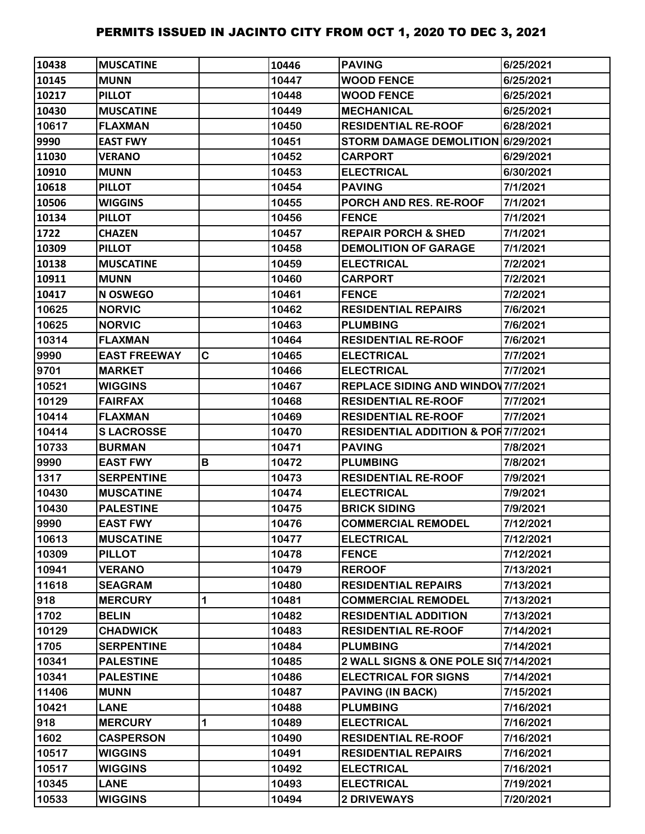| 10438 | <b>IMUSCATINE</b>   |   | 10446 | <b>PAVING</b>                                 | 6/25/2021 |
|-------|---------------------|---|-------|-----------------------------------------------|-----------|
| 10145 | <b>MUNN</b>         |   | 10447 | <b>WOOD FENCE</b>                             | 6/25/2021 |
| 10217 | <b>PILLOT</b>       |   | 10448 | <b>WOOD FENCE</b>                             | 6/25/2021 |
| 10430 | <b>MUSCATINE</b>    |   | 10449 | <b>MECHANICAL</b>                             | 6/25/2021 |
| 10617 | <b>FLAXMAN</b>      |   | 10450 | <b>RESIDENTIAL RE-ROOF</b>                    | 6/28/2021 |
| 9990  | <b>EAST FWY</b>     |   | 10451 | STORM DAMAGE DEMOLITION 6/29/2021             |           |
| 11030 | <b>VERANO</b>       |   | 10452 | <b>CARPORT</b>                                | 6/29/2021 |
| 10910 | <b>MUNN</b>         |   | 10453 | <b>ELECTRICAL</b>                             | 6/30/2021 |
| 10618 | <b>PILLOT</b>       |   | 10454 | <b>PAVING</b>                                 | 7/1/2021  |
| 10506 | <b>WIGGINS</b>      |   | 10455 | PORCH AND RES. RE-ROOF                        | 7/1/2021  |
| 10134 | <b>PILLOT</b>       |   | 10456 | <b>FENCE</b>                                  | 7/1/2021  |
| 1722  | <b>CHAZEN</b>       |   | 10457 | <b>REPAIR PORCH &amp; SHED</b>                | 7/1/2021  |
| 10309 | <b>PILLOT</b>       |   | 10458 | <b>DEMOLITION OF GARAGE</b>                   | 7/1/2021  |
| 10138 | <b>MUSCATINE</b>    |   | 10459 | <b>ELECTRICAL</b>                             | 7/2/2021  |
| 10911 | <b>MUNN</b>         |   | 10460 | <b>CARPORT</b>                                | 7/2/2021  |
| 10417 | <b>N OSWEGO</b>     |   | 10461 | <b>FENCE</b>                                  | 7/2/2021  |
| 10625 | <b>NORVIC</b>       |   | 10462 | <b>RESIDENTIAL REPAIRS</b>                    | 7/6/2021  |
| 10625 | <b>NORVIC</b>       |   | 10463 | <b>PLUMBING</b>                               | 7/6/2021  |
| 10314 | <b>FLAXMAN</b>      |   | 10464 | <b>RESIDENTIAL RE-ROOF</b>                    | 7/6/2021  |
| 9990  | <b>EAST FREEWAY</b> | C | 10465 | <b>ELECTRICAL</b>                             | 7/7/2021  |
| 9701  | <b>MARKET</b>       |   | 10466 | <b>ELECTRICAL</b>                             | 7/7/2021  |
| 10521 | <b>WIGGINS</b>      |   | 10467 | <b>REPLACE SIDING AND WINDOV 7/7/2021</b>     |           |
| 10129 | <b>FAIRFAX</b>      |   | 10468 | <b>RESIDENTIAL RE-ROOF</b>                    | 7/7/2021  |
| 10414 | <b>FLAXMAN</b>      |   | 10469 | <b>RESIDENTIAL RE-ROOF</b>                    | 7/7/2021  |
| 10414 | <b>SLACROSSE</b>    |   | 10470 | <b>RESIDENTIAL ADDITION &amp; POR7/7/2021</b> |           |
| 10733 | <b>BURMAN</b>       |   | 10471 | <b>PAVING</b>                                 | 7/8/2021  |
| 9990  | <b>EAST FWY</b>     | В | 10472 | <b>PLUMBING</b>                               | 7/8/2021  |
| 1317  | <b>SERPENTINE</b>   |   | 10473 | <b>RESIDENTIAL RE-ROOF</b>                    | 7/9/2021  |
| 10430 | <b>MUSCATINE</b>    |   | 10474 | <b>ELECTRICAL</b>                             | 7/9/2021  |
| 10430 | <b>PALESTINE</b>    |   | 10475 | <b>BRICK SIDING</b>                           | 7/9/2021  |
| 9990  | <b>EAST FWY</b>     |   | 10476 | <b>COMMERCIAL REMODEL</b>                     | 7/12/2021 |
| 10613 | <b>MUSCATINE</b>    |   | 10477 | <b>ELECTRICAL</b>                             | 7/12/2021 |
| 10309 | <b>PILLOT</b>       |   | 10478 | <b>FENCE</b>                                  | 7/12/2021 |
| 10941 | <b>VERANO</b>       |   | 10479 | <b>REROOF</b>                                 | 7/13/2021 |
| 11618 | <b>SEAGRAM</b>      |   | 10480 | <b>RESIDENTIAL REPAIRS</b>                    | 7/13/2021 |
| 918   | <b>MERCURY</b>      | 1 | 10481 | <b>COMMERCIAL REMODEL</b>                     | 7/13/2021 |
| 1702  | <b>BELIN</b>        |   | 10482 | <b>RESIDENTIAL ADDITION</b>                   | 7/13/2021 |
| 10129 | <b>CHADWICK</b>     |   | 10483 | <b>RESIDENTIAL RE-ROOF</b>                    | 7/14/2021 |
| 1705  | <b>SERPENTINE</b>   |   | 10484 | <b>PLUMBING</b>                               | 7/14/2021 |
| 10341 | <b>PALESTINE</b>    |   | 10485 | 2 WALL SIGNS & ONE POLE SI07/14/2021          |           |
| 10341 | <b>PALESTINE</b>    |   | 10486 | <b>ELECTRICAL FOR SIGNS</b>                   | 7/14/2021 |
| 11406 | <b>MUNN</b>         |   | 10487 | <b>PAVING (IN BACK)</b>                       | 7/15/2021 |
| 10421 | <b>LANE</b>         |   | 10488 | <b>PLUMBING</b>                               | 7/16/2021 |
| 918   | <b>MERCURY</b>      | 1 | 10489 | <b>ELECTRICAL</b>                             | 7/16/2021 |
| 1602  | <b>CASPERSON</b>    |   | 10490 | <b>RESIDENTIAL RE-ROOF</b>                    | 7/16/2021 |
| 10517 | <b>WIGGINS</b>      |   | 10491 | <b>RESIDENTIAL REPAIRS</b>                    | 7/16/2021 |
| 10517 | <b>WIGGINS</b>      |   | 10492 | <b>ELECTRICAL</b>                             | 7/16/2021 |
| 10345 | <b>LANE</b>         |   | 10493 | <b>ELECTRICAL</b>                             | 7/19/2021 |
| 10533 | <b>WIGGINS</b>      |   | 10494 | <b>2 DRIVEWAYS</b>                            | 7/20/2021 |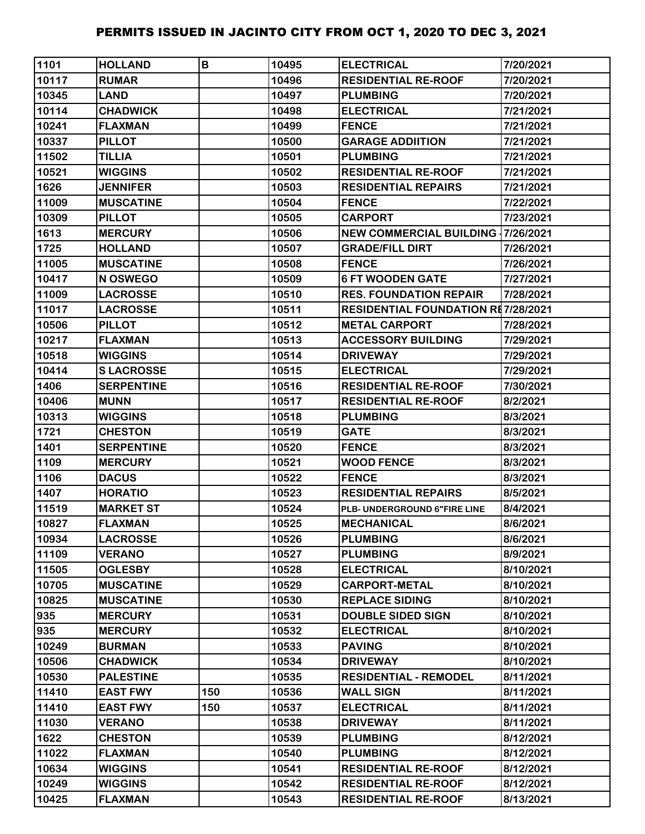| 1101  | <b>HOLLAND</b>    | B   | 10495 | <b>ELECTRICAL</b>                         | 7/20/2021 |
|-------|-------------------|-----|-------|-------------------------------------------|-----------|
| 10117 | <b>RUMAR</b>      |     | 10496 | <b>RESIDENTIAL RE-ROOF</b>                | 7/20/2021 |
| 10345 | <b>LAND</b>       |     | 10497 | <b>PLUMBING</b>                           | 7/20/2021 |
| 10114 | <b>CHADWICK</b>   |     | 10498 | <b>ELECTRICAL</b>                         | 7/21/2021 |
| 10241 | <b>FLAXMAN</b>    |     | 10499 | <b>FENCE</b>                              | 7/21/2021 |
| 10337 | <b>PILLOT</b>     |     | 10500 | <b>GARAGE ADDIITION</b>                   | 7/21/2021 |
| 11502 | <b>TILLIA</b>     |     | 10501 | <b>PLUMBING</b>                           | 7/21/2021 |
| 10521 | <b>WIGGINS</b>    |     | 10502 | <b>RESIDENTIAL RE-ROOF</b>                | 7/21/2021 |
| 1626  | <b>JENNIFER</b>   |     | 10503 | <b>RESIDENTIAL REPAIRS</b>                | 7/21/2021 |
| 11009 | <b>MUSCATINE</b>  |     | 10504 | <b>FENCE</b>                              | 7/22/2021 |
| 10309 | <b>PILLOT</b>     |     | 10505 | <b>CARPORT</b>                            | 7/23/2021 |
| 1613  | <b>MERCURY</b>    |     | 10506 | <b>NEW COMMERCIAL BUILDING 17/26/2021</b> |           |
| 1725  | <b>HOLLAND</b>    |     | 10507 | <b>GRADE/FILL DIRT</b>                    | 7/26/2021 |
| 11005 | <b>MUSCATINE</b>  |     | 10508 | <b>FENCE</b>                              | 7/26/2021 |
| 10417 | N OSWEGO          |     | 10509 | <b>6 FT WOODEN GATE</b>                   | 7/27/2021 |
| 11009 | <b>LACROSSE</b>   |     | 10510 | <b>RES. FOUNDATION REPAIR</b>             | 7/28/2021 |
| 11017 | <b>LACROSSE</b>   |     | 10511 | <b>RESIDENTIAL FOUNDATION RE7/28/2021</b> |           |
| 10506 | <b>PILLOT</b>     |     | 10512 | <b>METAL CARPORT</b>                      | 7/28/2021 |
| 10217 | <b>FLAXMAN</b>    |     | 10513 | <b>ACCESSORY BUILDING</b>                 | 7/29/2021 |
| 10518 | <b>WIGGINS</b>    |     | 10514 | <b>DRIVEWAY</b>                           | 7/29/2021 |
| 10414 | <b>SLACROSSE</b>  |     | 10515 | <b>ELECTRICAL</b>                         | 7/29/2021 |
| 1406  | <b>SERPENTINE</b> |     | 10516 | <b>RESIDENTIAL RE-ROOF</b>                | 7/30/2021 |
| 10406 | <b>MUNN</b>       |     | 10517 | <b>RESIDENTIAL RE-ROOF</b>                | 8/2/2021  |
| 10313 | <b>WIGGINS</b>    |     | 10518 | <b>PLUMBING</b>                           | 8/3/2021  |
| 1721  | <b>CHESTON</b>    |     | 10519 | <b>GATE</b>                               | 8/3/2021  |
| 1401  | <b>SERPENTINE</b> |     | 10520 | <b>FENCE</b>                              | 8/3/2021  |
| 1109  | <b>MERCURY</b>    |     | 10521 | <b>WOOD FENCE</b>                         | 8/3/2021  |
| 1106  | <b>DACUS</b>      |     | 10522 | <b>FENCE</b>                              | 8/3/2021  |
| 1407  | <b>HORATIO</b>    |     | 10523 | <b>RESIDENTIAL REPAIRS</b>                | 8/5/2021  |
| 11519 | <b>MARKET ST</b>  |     | 10524 | PLB- UNDERGROUND 6"FIRE LINE              | 8/4/2021  |
| 10827 | <b>FLAXMAN</b>    |     | 10525 | <b>MECHANICAL</b>                         | 8/6/2021  |
| 10934 | <b>LACROSSE</b>   |     | 10526 | <b>PLUMBING</b>                           | 8/6/2021  |
| 11109 | <b>VERANO</b>     |     | 10527 | <b>PLUMBING</b>                           | 8/9/2021  |
| 11505 | <b>OGLESBY</b>    |     | 10528 | <b>ELECTRICAL</b>                         | 8/10/2021 |
| 10705 | <b>MUSCATINE</b>  |     | 10529 | <b>CARPORT-METAL</b>                      | 8/10/2021 |
| 10825 | <b>MUSCATINE</b>  |     | 10530 | <b>REPLACE SIDING</b>                     | 8/10/2021 |
| 935   | <b>MERCURY</b>    |     | 10531 | <b>DOUBLE SIDED SIGN</b>                  | 8/10/2021 |
| 935   | <b>MERCURY</b>    |     | 10532 | <b>ELECTRICAL</b>                         | 8/10/2021 |
| 10249 | <b>BURMAN</b>     |     | 10533 | <b>PAVING</b>                             | 8/10/2021 |
| 10506 | <b>CHADWICK</b>   |     | 10534 | <b>DRIVEWAY</b>                           | 8/10/2021 |
| 10530 | <b>PALESTINE</b>  |     | 10535 | <b>RESIDENTIAL - REMODEL</b>              | 8/11/2021 |
| 11410 | <b>EAST FWY</b>   | 150 | 10536 | <b>WALL SIGN</b>                          | 8/11/2021 |
| 11410 | <b>EAST FWY</b>   | 150 | 10537 | <b>ELECTRICAL</b>                         | 8/11/2021 |
| 11030 | <b>VERANO</b>     |     | 10538 | <b>DRIVEWAY</b>                           | 8/11/2021 |
| 1622  | <b>CHESTON</b>    |     | 10539 | <b>PLUMBING</b>                           | 8/12/2021 |
| 11022 | <b>FLAXMAN</b>    |     | 10540 | <b>PLUMBING</b>                           | 8/12/2021 |
| 10634 | <b>WIGGINS</b>    |     | 10541 | <b>RESIDENTIAL RE-ROOF</b>                | 8/12/2021 |
| 10249 | <b>WIGGINS</b>    |     | 10542 | <b>RESIDENTIAL RE-ROOF</b>                | 8/12/2021 |
| 10425 | <b>FLAXMAN</b>    |     | 10543 | <b>RESIDENTIAL RE-ROOF</b>                | 8/13/2021 |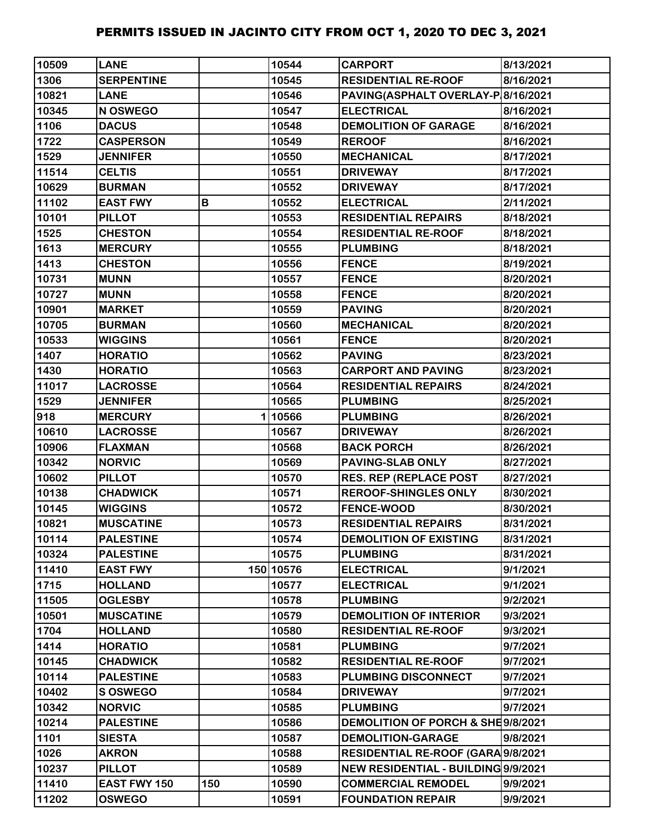| 10509 | <b>LANE</b>       |     | 10544     | <b>CARPORT</b>                      | 8/13/2021 |
|-------|-------------------|-----|-----------|-------------------------------------|-----------|
| 1306  | <b>SERPENTINE</b> |     | 10545     | <b>RESIDENTIAL RE-ROOF</b>          | 8/16/2021 |
| 10821 | <b>LANE</b>       |     | 10546     | PAVING(ASPHALT OVERLAY-P 8/16/2021  |           |
| 10345 | N OSWEGO          |     | 10547     | <b>ELECTRICAL</b>                   | 8/16/2021 |
| 1106  | <b>DACUS</b>      |     | 10548     | <b>DEMOLITION OF GARAGE</b>         | 8/16/2021 |
| 1722  | <b>CASPERSON</b>  |     | 10549     | <b>REROOF</b>                       | 8/16/2021 |
| 1529  | <b>JENNIFER</b>   |     | 10550     | <b>MECHANICAL</b>                   | 8/17/2021 |
| 11514 | <b>CELTIS</b>     |     | 10551     | <b>DRIVEWAY</b>                     | 8/17/2021 |
| 10629 | <b>BURMAN</b>     |     | 10552     | <b>DRIVEWAY</b>                     | 8/17/2021 |
| 11102 | <b>EAST FWY</b>   | В   | 10552     | <b>ELECTRICAL</b>                   | 2/11/2021 |
| 10101 | <b>PILLOT</b>     |     | 10553     | <b>RESIDENTIAL REPAIRS</b>          | 8/18/2021 |
| 1525  | <b>CHESTON</b>    |     | 10554     | <b>RESIDENTIAL RE-ROOF</b>          | 8/18/2021 |
| 1613  | <b>MERCURY</b>    |     | 10555     | <b>PLUMBING</b>                     | 8/18/2021 |
| 1413  | <b>CHESTON</b>    |     | 10556     | <b>FENCE</b>                        | 8/19/2021 |
| 10731 | <b>MUNN</b>       |     | 10557     | <b>FENCE</b>                        | 8/20/2021 |
| 10727 | <b>MUNN</b>       |     | 10558     | <b>FENCE</b>                        | 8/20/2021 |
| 10901 | <b>MARKET</b>     |     | 10559     | <b>PAVING</b>                       | 8/20/2021 |
| 10705 | <b>BURMAN</b>     |     | 10560     | <b>MECHANICAL</b>                   | 8/20/2021 |
| 10533 | <b>WIGGINS</b>    |     | 10561     | <b>FENCE</b>                        | 8/20/2021 |
| 1407  | <b>HORATIO</b>    |     | 10562     | <b>PAVING</b>                       | 8/23/2021 |
| 1430  | <b>HORATIO</b>    |     | 10563     | <b>CARPORT AND PAVING</b>           | 8/23/2021 |
| 11017 | <b>LACROSSE</b>   |     | 10564     | <b>RESIDENTIAL REPAIRS</b>          | 8/24/2021 |
| 1529  | <b>JENNIFER</b>   |     | 10565     | <b>PLUMBING</b>                     | 8/25/2021 |
| 918   | <b>MERCURY</b>    |     | 110566    | <b>PLUMBING</b>                     | 8/26/2021 |
| 10610 | <b>LACROSSE</b>   |     | 10567     | <b>DRIVEWAY</b>                     | 8/26/2021 |
| 10906 | <b>FLAXMAN</b>    |     | 10568     | <b>BACK PORCH</b>                   | 8/26/2021 |
| 10342 | <b>NORVIC</b>     |     | 10569     | <b>PAVING-SLAB ONLY</b>             | 8/27/2021 |
| 10602 | <b>PILLOT</b>     |     | 10570     | <b>RES. REP (REPLACE POST</b>       | 8/27/2021 |
| 10138 | <b>CHADWICK</b>   |     | 10571     | <b>REROOF-SHINGLES ONLY</b>         | 8/30/2021 |
| 10145 | <b>WIGGINS</b>    |     | 10572     | <b>FENCE-WOOD</b>                   | 8/30/2021 |
| 10821 | <b>MUSCATINE</b>  |     | 10573     | <b>RESIDENTIAL REPAIRS</b>          | 8/31/2021 |
| 10114 | <b>PALESTINE</b>  |     | 10574     | <b>DEMOLITION OF EXISTING</b>       | 8/31/2021 |
| 10324 | <b>PALESTINE</b>  |     | 10575     | <b>PLUMBING</b>                     | 8/31/2021 |
| 11410 | <b>EAST FWY</b>   |     | 150 10576 | <b>ELECTRICAL</b>                   | 9/1/2021  |
| 1715  | <b>HOLLAND</b>    |     | 10577     | <b>ELECTRICAL</b>                   | 9/1/2021  |
| 11505 | <b>OGLESBY</b>    |     | 10578     | <b>PLUMBING</b>                     | 9/2/2021  |
| 10501 | <b>MUSCATINE</b>  |     | 10579     | <b>DEMOLITION OF INTERIOR</b>       | 9/3/2021  |
| 1704  | <b>HOLLAND</b>    |     | 10580     | <b>RESIDENTIAL RE-ROOF</b>          | 9/3/2021  |
| 1414  | <b>HORATIO</b>    |     | 10581     | <b>PLUMBING</b>                     | 9/7/2021  |
| 10145 | <b>CHADWICK</b>   |     | 10582     | <b>RESIDENTIAL RE-ROOF</b>          | 9/7/2021  |
| 10114 | <b>PALESTINE</b>  |     | 10583     | PLUMBING DISCONNECT                 | 9/7/2021  |
| 10402 | <b>SOSWEGO</b>    |     | 10584     | <b>DRIVEWAY</b>                     | 9/7/2021  |
| 10342 | <b>NORVIC</b>     |     | 10585     | <b>PLUMBING</b>                     | 9/7/2021  |
| 10214 | <b>PALESTINE</b>  |     | 10586     | DEMOLITION OF PORCH & SHE9/8/2021   |           |
| 1101  | <b>SIESTA</b>     |     | 10587     | <b>DEMOLITION-GARAGE</b>            | 9/8/2021  |
| 1026  | <b>AKRON</b>      |     | 10588     | RESIDENTIAL RE-ROOF (GARA 9/8/2021  |           |
| 10237 | <b>PILLOT</b>     |     | 10589     | NEW RESIDENTIAL - BUILDING 9/9/2021 |           |
| 11410 | EAST FWY 150      | 150 | 10590     | <b>COMMERCIAL REMODEL</b>           | 9/9/2021  |
| 11202 | <b>OSWEGO</b>     |     | 10591     | <b>FOUNDATION REPAIR</b>            | 9/9/2021  |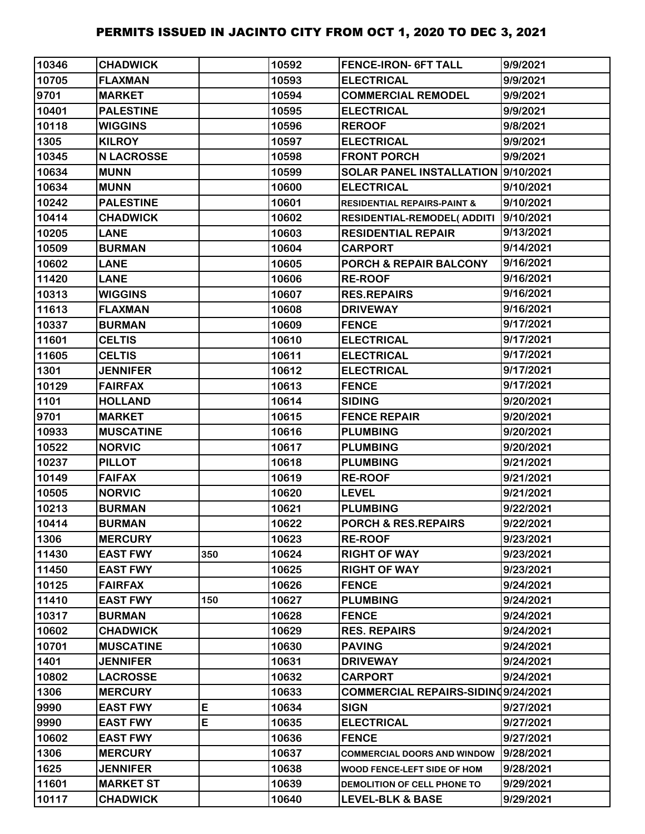| 10346 | <b>CHADWICK</b>   |     | 10592 | <b>FENCE-IRON- 6FT TALL</b>            | 9/9/2021  |
|-------|-------------------|-----|-------|----------------------------------------|-----------|
| 10705 | <b>FLAXMAN</b>    |     | 10593 | <b>ELECTRICAL</b>                      | 9/9/2021  |
| 9701  | <b>MARKET</b>     |     | 10594 | <b>COMMERCIAL REMODEL</b>              | 9/9/2021  |
| 10401 | <b>PALESTINE</b>  |     | 10595 | <b>ELECTRICAL</b>                      | 9/9/2021  |
| 10118 | <b>WIGGINS</b>    |     | 10596 | <b>REROOF</b>                          | 9/8/2021  |
| 1305  | <b>KILROY</b>     |     | 10597 | <b>ELECTRICAL</b>                      | 9/9/2021  |
| 10345 | <b>N LACROSSE</b> |     | 10598 | <b>FRONT PORCH</b>                     | 9/9/2021  |
| 10634 | <b>MUNN</b>       |     | 10599 | SOLAR PANEL INSTALLATION 9/10/2021     |           |
| 10634 | <b>MUNN</b>       |     | 10600 | <b>ELECTRICAL</b>                      | 9/10/2021 |
| 10242 | <b>PALESTINE</b>  |     | 10601 | <b>RESIDENTIAL REPAIRS-PAINT &amp;</b> | 9/10/2021 |
| 10414 | <b>CHADWICK</b>   |     | 10602 | <b>RESIDENTIAL-REMODEL( ADDITI</b>     | 9/10/2021 |
| 10205 | <b>LANE</b>       |     | 10603 | <b>RESIDENTIAL REPAIR</b>              | 9/13/2021 |
| 10509 | <b>BURMAN</b>     |     | 10604 | <b>CARPORT</b>                         | 9/14/2021 |
| 10602 | <b>LANE</b>       |     | 10605 | <b>PORCH &amp; REPAIR BALCONY</b>      | 9/16/2021 |
| 11420 | <b>LANE</b>       |     | 10606 | <b>RE-ROOF</b>                         | 9/16/2021 |
| 10313 | <b>WIGGINS</b>    |     | 10607 | <b>RES.REPAIRS</b>                     | 9/16/2021 |
| 11613 | <b>FLAXMAN</b>    |     | 10608 | <b>DRIVEWAY</b>                        | 9/16/2021 |
| 10337 | <b>BURMAN</b>     |     | 10609 | <b>FENCE</b>                           | 9/17/2021 |
| 11601 | <b>CELTIS</b>     |     | 10610 | <b>ELECTRICAL</b>                      | 9/17/2021 |
| 11605 | <b>CELTIS</b>     |     | 10611 | <b>ELECTRICAL</b>                      | 9/17/2021 |
| 1301  | <b>JENNIFER</b>   |     | 10612 | <b>ELECTRICAL</b>                      | 9/17/2021 |
| 10129 | <b>FAIRFAX</b>    |     | 10613 | <b>FENCE</b>                           | 9/17/2021 |
| 1101  | <b>HOLLAND</b>    |     | 10614 | <b>SIDING</b>                          | 9/20/2021 |
| 9701  | <b>MARKET</b>     |     | 10615 | <b>FENCE REPAIR</b>                    | 9/20/2021 |
| 10933 | <b>MUSCATINE</b>  |     | 10616 | <b>PLUMBING</b>                        | 9/20/2021 |
| 10522 | <b>NORVIC</b>     |     | 10617 | <b>PLUMBING</b>                        | 9/20/2021 |
| 10237 | <b>PILLOT</b>     |     | 10618 | <b>PLUMBING</b>                        | 9/21/2021 |
| 10149 | <b>FAIFAX</b>     |     | 10619 | <b>RE-ROOF</b>                         | 9/21/2021 |
| 10505 | <b>NORVIC</b>     |     | 10620 | <b>LEVEL</b>                           | 9/21/2021 |
| 10213 | <b>BURMAN</b>     |     | 10621 | <b>PLUMBING</b>                        | 9/22/2021 |
| 10414 | <b>BURMAN</b>     |     | 10622 | PORCH & RES.REPAIRS                    | 9/22/2021 |
| 1306  | <b>MERCURY</b>    |     | 10623 | <b>RE-ROOF</b>                         | 9/23/2021 |
| 11430 | <b>EAST FWY</b>   | 350 | 10624 | <b>RIGHT OF WAY</b>                    | 9/23/2021 |
| 11450 | <b>EAST FWY</b>   |     | 10625 | <b>RIGHT OF WAY</b>                    | 9/23/2021 |
| 10125 | <b>FAIRFAX</b>    |     | 10626 | <b>FENCE</b>                           | 9/24/2021 |
| 11410 | <b>EAST FWY</b>   | 150 | 10627 | <b>PLUMBING</b>                        | 9/24/2021 |
| 10317 | <b>BURMAN</b>     |     | 10628 | <b>FENCE</b>                           | 9/24/2021 |
| 10602 | <b>CHADWICK</b>   |     | 10629 | <b>RES. REPAIRS</b>                    | 9/24/2021 |
| 10701 | <b>MUSCATINE</b>  |     | 10630 | <b>PAVING</b>                          | 9/24/2021 |
| 1401  | <b>JENNIFER</b>   |     | 10631 | <b>DRIVEWAY</b>                        | 9/24/2021 |
| 10802 | <b>LACROSSE</b>   |     | 10632 | CARPORT                                | 9/24/2021 |
| 1306  | <b>MERCURY</b>    |     | 10633 | COMMERCIAL REPAIRS-SIDINQ9/24/2021     |           |
| 9990  | <b>EAST FWY</b>   | E   | 10634 | <b>SIGN</b>                            | 9/27/2021 |
| 9990  | <b>EAST FWY</b>   | E   | 10635 | <b>ELECTRICAL</b>                      | 9/27/2021 |
| 10602 | <b>EAST FWY</b>   |     | 10636 | <b>FENCE</b>                           | 9/27/2021 |
| 1306  | <b>MERCURY</b>    |     | 10637 | <b>COMMERCIAL DOORS AND WINDOW</b>     | 9/28/2021 |
| 1625  | <b>JENNIFER</b>   |     | 10638 | WOOD FENCE-LEFT SIDE OF HOM            | 9/28/2021 |
| 11601 | <b>MARKET ST</b>  |     | 10639 | DEMOLITION OF CELL PHONE TO            | 9/29/2021 |
| 10117 | <b>CHADWICK</b>   |     | 10640 | <b>LEVEL-BLK &amp; BASE</b>            | 9/29/2021 |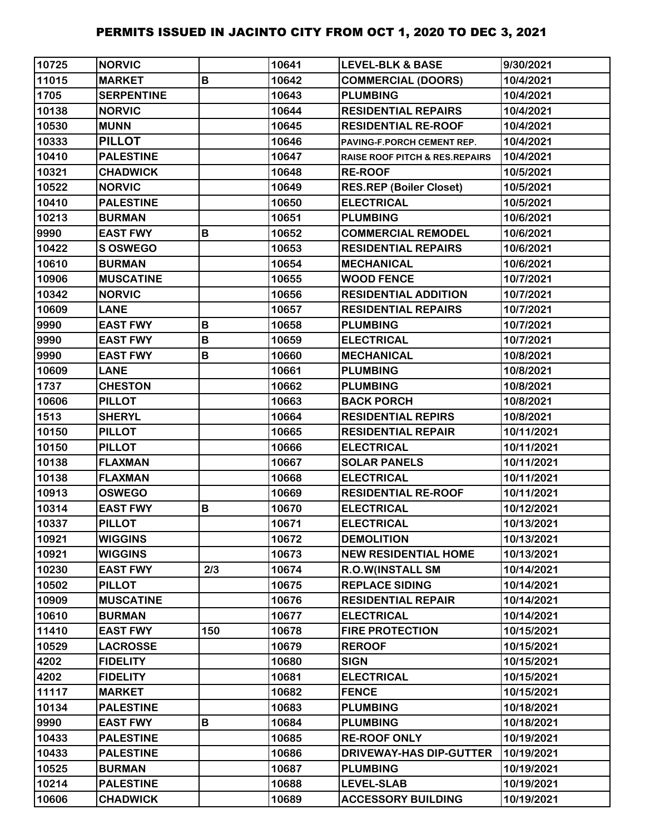| 10725 | <b>NORVIC</b>     |             | 10641 | <b>LEVEL-BLK &amp; BASE</b>               | 9/30/2021  |
|-------|-------------------|-------------|-------|-------------------------------------------|------------|
| 11015 | <b>MARKET</b>     | $\mathbf B$ | 10642 | <b>COMMERCIAL (DOORS)</b>                 | 10/4/2021  |
| 1705  | <b>SERPENTINE</b> |             | 10643 | <b>PLUMBING</b>                           | 10/4/2021  |
| 10138 | <b>NORVIC</b>     |             | 10644 | <b>RESIDENTIAL REPAIRS</b>                | 10/4/2021  |
| 10530 | <b>MUNN</b>       |             | 10645 | <b>RESIDENTIAL RE-ROOF</b>                | 10/4/2021  |
| 10333 | <b>PILLOT</b>     |             | 10646 | PAVING-F.PORCH CEMENT REP.                | 10/4/2021  |
| 10410 | <b>PALESTINE</b>  |             | 10647 | <b>RAISE ROOF PITCH &amp; RES.REPAIRS</b> | 10/4/2021  |
| 10321 | <b>CHADWICK</b>   |             | 10648 | <b>RE-ROOF</b>                            | 10/5/2021  |
| 10522 | <b>NORVIC</b>     |             | 10649 | <b>RES.REP (Boiler Closet)</b>            | 10/5/2021  |
| 10410 | <b>PALESTINE</b>  |             | 10650 | <b>ELECTRICAL</b>                         | 10/5/2021  |
| 10213 | <b>BURMAN</b>     |             | 10651 | <b>PLUMBING</b>                           | 10/6/2021  |
| 9990  | <b>EAST FWY</b>   | В           | 10652 | <b>COMMERCIAL REMODEL</b>                 | 10/6/2021  |
| 10422 | <b>S OSWEGO</b>   |             | 10653 | <b>RESIDENTIAL REPAIRS</b>                | 10/6/2021  |
| 10610 | <b>BURMAN</b>     |             | 10654 | <b>MECHANICAL</b>                         | 10/6/2021  |
| 10906 | <b>MUSCATINE</b>  |             | 10655 | <b>WOOD FENCE</b>                         | 10/7/2021  |
| 10342 | <b>NORVIC</b>     |             | 10656 | <b>RESIDENTIAL ADDITION</b>               | 10/7/2021  |
| 10609 | <b>LANE</b>       |             | 10657 | <b>RESIDENTIAL REPAIRS</b>                | 10/7/2021  |
| 9990  | <b>EAST FWY</b>   | B           | 10658 | <b>PLUMBING</b>                           | 10/7/2021  |
| 9990  | <b>EAST FWY</b>   | B           | 10659 | <b>ELECTRICAL</b>                         | 10/7/2021  |
| 9990  | <b>EAST FWY</b>   | B           | 10660 | <b>MECHANICAL</b>                         | 10/8/2021  |
| 10609 | <b>LANE</b>       |             | 10661 | <b>PLUMBING</b>                           | 10/8/2021  |
| 1737  | <b>CHESTON</b>    |             | 10662 | <b>PLUMBING</b>                           | 10/8/2021  |
| 10606 | <b>PILLOT</b>     |             | 10663 | <b>BACK PORCH</b>                         | 10/8/2021  |
| 1513  | <b>SHERYL</b>     |             | 10664 | <b>RESIDENTIAL REPIRS</b>                 | 10/8/2021  |
| 10150 | <b>PILLOT</b>     |             | 10665 | <b>RESIDENTIAL REPAIR</b>                 | 10/11/2021 |
| 10150 | <b>PILLOT</b>     |             | 10666 | <b>ELECTRICAL</b>                         | 10/11/2021 |
| 10138 | <b>FLAXMAN</b>    |             | 10667 | <b>SOLAR PANELS</b>                       | 10/11/2021 |
| 10138 | <b>FLAXMAN</b>    |             | 10668 | <b>ELECTRICAL</b>                         | 10/11/2021 |
| 10913 | <b>OSWEGO</b>     |             | 10669 | <b>RESIDENTIAL RE-ROOF</b>                | 10/11/2021 |
| 10314 | <b>EAST FWY</b>   | B           | 10670 | <b>ELECTRICAL</b>                         | 10/12/2021 |
| 10337 | <b>PILLOT</b>     |             | 10671 | <b>ELECTRICAL</b>                         | 10/13/2021 |
| 10921 | <b>WIGGINS</b>    |             | 10672 | <b>DEMOLITION</b>                         | 10/13/2021 |
| 10921 | <b>WIGGINS</b>    |             | 10673 | <b>NEW RESIDENTIAL HOME</b>               | 10/13/2021 |
| 10230 | <b>EAST FWY</b>   | 2/3         | 10674 | <b>R.O.W(INSTALL SM</b>                   | 10/14/2021 |
| 10502 | <b>PILLOT</b>     |             | 10675 | <b>REPLACE SIDING</b>                     | 10/14/2021 |
| 10909 | <b>MUSCATINE</b>  |             | 10676 | <b>RESIDENTIAL REPAIR</b>                 | 10/14/2021 |
| 10610 | <b>BURMAN</b>     |             | 10677 | <b>ELECTRICAL</b>                         | 10/14/2021 |
| 11410 | <b>EAST FWY</b>   | 150         | 10678 | <b>FIRE PROTECTION</b>                    | 10/15/2021 |
| 10529 | <b>LACROSSE</b>   |             | 10679 | <b>REROOF</b>                             | 10/15/2021 |
| 4202  | <b>FIDELITY</b>   |             | 10680 | <b>SIGN</b>                               | 10/15/2021 |
| 4202  | <b>FIDELITY</b>   |             | 10681 | <b>ELECTRICAL</b>                         | 10/15/2021 |
| 11117 | <b>MARKET</b>     |             | 10682 | <b>FENCE</b>                              | 10/15/2021 |
| 10134 | <b>PALESTINE</b>  |             | 10683 | <b>PLUMBING</b>                           | 10/18/2021 |
| 9990  | <b>EAST FWY</b>   | B           | 10684 | <b>PLUMBING</b>                           | 10/18/2021 |
| 10433 | <b>PALESTINE</b>  |             | 10685 | <b>RE-ROOF ONLY</b>                       | 10/19/2021 |
| 10433 | <b>PALESTINE</b>  |             | 10686 | <b>DRIVEWAY-HAS DIP-GUTTER</b>            | 10/19/2021 |
| 10525 | <b>BURMAN</b>     |             | 10687 | <b>PLUMBING</b>                           | 10/19/2021 |
| 10214 | <b>PALESTINE</b>  |             | 10688 | <b>LEVEL-SLAB</b>                         | 10/19/2021 |
| 10606 | <b>CHADWICK</b>   |             | 10689 | <b>ACCESSORY BUILDING</b>                 | 10/19/2021 |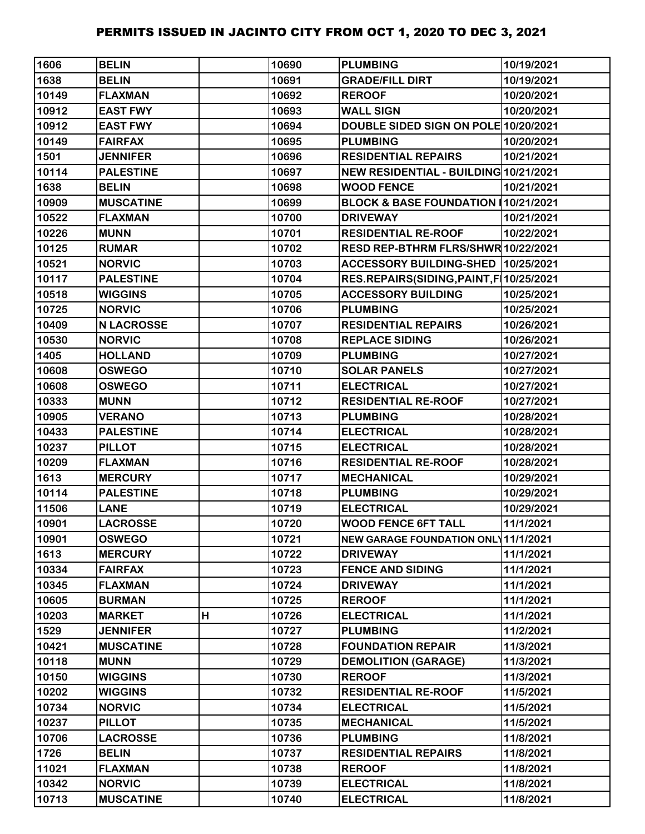| 1606  | <b>BELIN</b>      |   | 10690 | <b>PLUMBING</b>                            | 10/19/2021 |
|-------|-------------------|---|-------|--------------------------------------------|------------|
| 1638  | <b>BELIN</b>      |   | 10691 | <b>GRADE/FILL DIRT</b>                     | 10/19/2021 |
| 10149 | <b>FLAXMAN</b>    |   | 10692 | <b>REROOF</b>                              | 10/20/2021 |
| 10912 | <b>EAST FWY</b>   |   | 10693 | <b>WALL SIGN</b>                           | 10/20/2021 |
| 10912 | <b>EAST FWY</b>   |   | 10694 | DOUBLE SIDED SIGN ON POLE 10/20/2021       |            |
| 10149 | <b>FAIRFAX</b>    |   | 10695 | <b>PLUMBING</b>                            | 10/20/2021 |
| 1501  | <b>JENNIFER</b>   |   | 10696 | <b>RESIDENTIAL REPAIRS</b>                 | 10/21/2021 |
| 10114 | <b>PALESTINE</b>  |   | 10697 | NEW RESIDENTIAL - BUILDING 10/21/2021      |            |
| 1638  | <b>BELIN</b>      |   | 10698 | <b>WOOD FENCE</b>                          | 10/21/2021 |
| 10909 | <b>MUSCATINE</b>  |   | 10699 | BLOCK & BASE FOUNDATION (10/21/2021        |            |
| 10522 | <b>FLAXMAN</b>    |   | 10700 | <b>DRIVEWAY</b>                            | 10/21/2021 |
| 10226 | <b>MUNN</b>       |   | 10701 | <b>RESIDENTIAL RE-ROOF</b>                 | 10/22/2021 |
| 10125 | <b>RUMAR</b>      |   | 10702 | RESD REP-BTHRM FLRS/SHWR 10/22/2021        |            |
| 10521 | <b>NORVIC</b>     |   | 10703 | ACCESSORY BUILDING-SHED 10/25/2021         |            |
| 10117 | <b>PALESTINE</b>  |   | 10704 | RES.REPAIRS(SIDING, PAINT, F   10/25/2021  |            |
| 10518 | <b>WIGGINS</b>    |   | 10705 | <b>ACCESSORY BUILDING</b>                  | 10/25/2021 |
| 10725 | <b>NORVIC</b>     |   | 10706 | <b>PLUMBING</b>                            | 10/25/2021 |
| 10409 | <b>N LACROSSE</b> |   | 10707 | <b>RESIDENTIAL REPAIRS</b>                 | 10/26/2021 |
| 10530 | <b>NORVIC</b>     |   | 10708 | <b>REPLACE SIDING</b>                      | 10/26/2021 |
| 1405  | <b>HOLLAND</b>    |   | 10709 | <b>PLUMBING</b>                            | 10/27/2021 |
| 10608 | <b>OSWEGO</b>     |   | 10710 | <b>SOLAR PANELS</b>                        | 10/27/2021 |
| 10608 | <b>OSWEGO</b>     |   | 10711 | <b>ELECTRICAL</b>                          | 10/27/2021 |
| 10333 | <b>MUNN</b>       |   | 10712 | <b>RESIDENTIAL RE-ROOF</b>                 | 10/27/2021 |
| 10905 | <b>VERANO</b>     |   | 10713 | <b>PLUMBING</b>                            | 10/28/2021 |
| 10433 | <b>PALESTINE</b>  |   | 10714 | <b>ELECTRICAL</b>                          | 10/28/2021 |
| 10237 | <b>PILLOT</b>     |   | 10715 | <b>ELECTRICAL</b>                          | 10/28/2021 |
| 10209 | <b>FLAXMAN</b>    |   | 10716 | <b>RESIDENTIAL RE-ROOF</b>                 | 10/28/2021 |
| 1613  | <b>MERCURY</b>    |   | 10717 | <b>MECHANICAL</b>                          | 10/29/2021 |
| 10114 | <b>PALESTINE</b>  |   | 10718 | <b>PLUMBING</b>                            | 10/29/2021 |
| 11506 | <b>LANE</b>       |   | 10719 | <b>ELECTRICAL</b>                          | 10/29/2021 |
| 10901 | <b>LACROSSE</b>   |   | 10720 | <b>WOOD FENCE 6FT TALL</b>                 | 11/1/2021  |
| 10901 | <b>OSWEGO</b>     |   | 10721 | <b>NEW GARAGE FOUNDATION ONL 11/1/2021</b> |            |
| 1613  | <b>MERCURY</b>    |   | 10722 | <b>DRIVEWAY</b>                            | 11/1/2021  |
| 10334 | <b>FAIRFAX</b>    |   | 10723 | <b>FENCE AND SIDING</b>                    | 11/1/2021  |
| 10345 | <b>FLAXMAN</b>    |   | 10724 | <b>DRIVEWAY</b>                            | 11/1/2021  |
| 10605 | <b>BURMAN</b>     |   | 10725 | <b>REROOF</b>                              | 11/1/2021  |
| 10203 | <b>MARKET</b>     | Н | 10726 | <b>ELECTRICAL</b>                          | 11/1/2021  |
| 1529  | <b>JENNIFER</b>   |   | 10727 | <b>PLUMBING</b>                            | 11/2/2021  |
| 10421 | <b>MUSCATINE</b>  |   | 10728 | <b>FOUNDATION REPAIR</b>                   | 11/3/2021  |
| 10118 | <b>MUNN</b>       |   | 10729 | <b>DEMOLITION (GARAGE)</b>                 | 11/3/2021  |
| 10150 | <b>WIGGINS</b>    |   | 10730 | <b>REROOF</b>                              | 11/3/2021  |
| 10202 | <b>WIGGINS</b>    |   | 10732 | <b>RESIDENTIAL RE-ROOF</b>                 | 11/5/2021  |
| 10734 | <b>NORVIC</b>     |   | 10734 | <b>ELECTRICAL</b>                          | 11/5/2021  |
| 10237 | <b>PILLOT</b>     |   | 10735 | <b>MECHANICAL</b>                          | 11/5/2021  |
| 10706 | <b>LACROSSE</b>   |   | 10736 | <b>PLUMBING</b>                            | 11/8/2021  |
| 1726  | <b>BELIN</b>      |   | 10737 | <b>RESIDENTIAL REPAIRS</b>                 | 11/8/2021  |
| 11021 | <b>FLAXMAN</b>    |   | 10738 | <b>REROOF</b>                              | 11/8/2021  |
| 10342 | <b>NORVIC</b>     |   | 10739 | <b>ELECTRICAL</b>                          | 11/8/2021  |
| 10713 | <b>MUSCATINE</b>  |   | 10740 | <b>ELECTRICAL</b>                          | 11/8/2021  |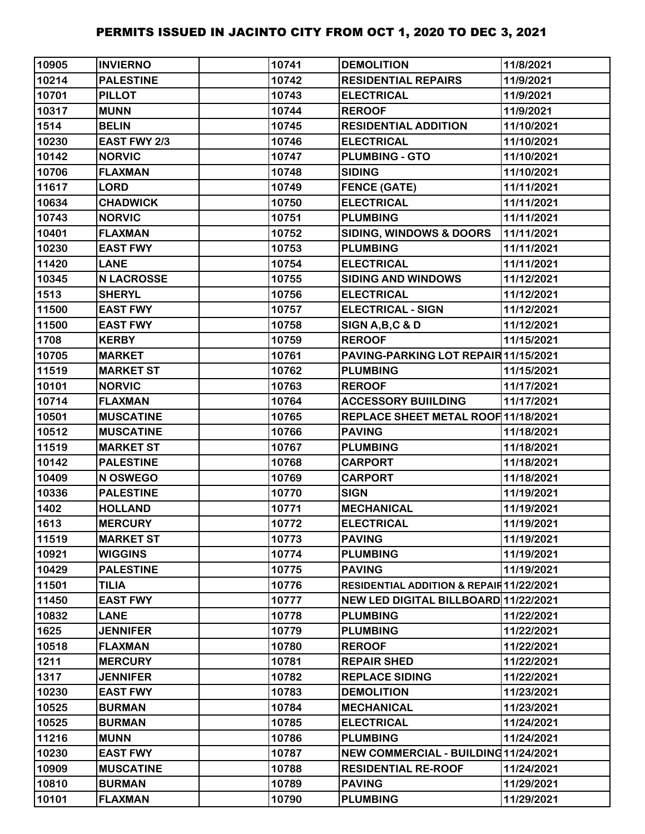| 10905 | <b>INVIERNO</b>   | 10741 | <b>DEMOLITION</b>                        | 11/8/2021  |
|-------|-------------------|-------|------------------------------------------|------------|
| 10214 | <b>PALESTINE</b>  | 10742 | <b>RESIDENTIAL REPAIRS</b>               | 11/9/2021  |
| 10701 | <b>PILLOT</b>     | 10743 | <b>ELECTRICAL</b>                        | 11/9/2021  |
| 10317 | <b>MUNN</b>       | 10744 | <b>REROOF</b>                            | 11/9/2021  |
| 1514  | <b>BELIN</b>      | 10745 | <b>RESIDENTIAL ADDITION</b>              | 11/10/2021 |
| 10230 | EAST FWY 2/3      | 10746 | <b>ELECTRICAL</b>                        | 11/10/2021 |
| 10142 | <b>NORVIC</b>     | 10747 | <b>PLUMBING - GTO</b>                    | 11/10/2021 |
| 10706 | <b>FLAXMAN</b>    | 10748 | <b>SIDING</b>                            | 11/10/2021 |
| 11617 | <b>LORD</b>       | 10749 | <b>FENCE (GATE)</b>                      | 11/11/2021 |
| 10634 | <b>CHADWICK</b>   | 10750 | <b>ELECTRICAL</b>                        | 11/11/2021 |
| 10743 | <b>NORVIC</b>     | 10751 | <b>PLUMBING</b>                          | 11/11/2021 |
| 10401 | <b>FLAXMAN</b>    | 10752 | <b>SIDING, WINDOWS &amp; DOORS</b>       | 11/11/2021 |
| 10230 | <b>EAST FWY</b>   | 10753 | <b>PLUMBING</b>                          | 11/11/2021 |
| 11420 | <b>LANE</b>       | 10754 | <b>ELECTRICAL</b>                        | 11/11/2021 |
| 10345 | <b>N LACROSSE</b> | 10755 | <b>SIDING AND WINDOWS</b>                | 11/12/2021 |
| 1513  | <b>SHERYL</b>     | 10756 | <b>ELECTRICAL</b>                        | 11/12/2021 |
| 11500 | <b>EAST FWY</b>   | 10757 | <b>ELECTRICAL - SIGN</b>                 | 11/12/2021 |
| 11500 | <b>EAST FWY</b>   | 10758 | SIGN A, B, C & D                         | 11/12/2021 |
| 1708  | <b>KERBY</b>      | 10759 | <b>REROOF</b>                            | 11/15/2021 |
| 10705 | <b>MARKET</b>     | 10761 | PAVING-PARKING LOT REPAIR 11/15/2021     |            |
| 11519 | <b>MARKET ST</b>  | 10762 | <b>PLUMBING</b>                          | 11/15/2021 |
| 10101 | <b>NORVIC</b>     | 10763 | <b>REROOF</b>                            | 11/17/2021 |
| 10714 | <b>FLAXMAN</b>    | 10764 | <b>ACCESSORY BUIILDING</b>               | 11/17/2021 |
| 10501 | <b>MUSCATINE</b>  | 10765 | REPLACE SHEET METAL ROOF 11/18/2021      |            |
| 10512 | <b>MUSCATINE</b>  | 10766 | <b>PAVING</b>                            | 11/18/2021 |
| 11519 | <b>MARKET ST</b>  | 10767 | <b>PLUMBING</b>                          | 11/18/2021 |
| 10142 | <b>PALESTINE</b>  | 10768 | <b>CARPORT</b>                           | 11/18/2021 |
| 10409 | N OSWEGO          | 10769 | <b>CARPORT</b>                           | 11/18/2021 |
| 10336 | <b>PALESTINE</b>  | 10770 | <b>SIGN</b>                              | 11/19/2021 |
| 1402  | <b>HOLLAND</b>    | 10771 | <b>MECHANICAL</b>                        | 11/19/2021 |
| 1613  | <b>MERCURY</b>    | 10772 | <b>ELECTRICAL</b>                        | 11/19/2021 |
| 11519 | <b>MARKET ST</b>  | 10773 | <b>PAVING</b>                            | 11/19/2021 |
| 10921 | <b>WIGGINS</b>    | 10774 | <b>PLUMBING</b>                          | 11/19/2021 |
| 10429 | <b>PALESTINE</b>  | 10775 | <b>PAVING</b>                            | 11/19/2021 |
| 11501 | <b>TILIA</b>      | 10776 | RESIDENTIAL ADDITION & REPAIR 11/22/2021 |            |
| 11450 | <b>EAST FWY</b>   | 10777 | NEW LED DIGITAL BILLBOARD 11/22/2021     |            |
| 10832 | <b>LANE</b>       | 10778 | <b>PLUMBING</b>                          | 11/22/2021 |
| 1625  | <b>JENNIFER</b>   | 10779 | <b>PLUMBING</b>                          | 11/22/2021 |
| 10518 | <b>FLAXMAN</b>    | 10780 | <b>REROOF</b>                            | 11/22/2021 |
| 1211  | <b>MERCURY</b>    | 10781 | <b>REPAIR SHED</b>                       | 11/22/2021 |
| 1317  | <b>JENNIFER</b>   | 10782 | <b>REPLACE SIDING</b>                    | 11/22/2021 |
| 10230 | <b>EAST FWY</b>   | 10783 | <b>DEMOLITION</b>                        | 11/23/2021 |
| 10525 | <b>BURMAN</b>     | 10784 | <b>MECHANICAL</b>                        | 11/23/2021 |
| 10525 | <b>BURMAN</b>     | 10785 | <b>ELECTRICAL</b>                        | 11/24/2021 |
| 11216 | <b>MUNN</b>       | 10786 | <b>PLUMBING</b>                          | 11/24/2021 |
| 10230 | <b>EAST FWY</b>   | 10787 | NEW COMMERCIAL - BUILDING 11/24/2021     |            |
| 10909 | <b>MUSCATINE</b>  | 10788 | <b>RESIDENTIAL RE-ROOF</b>               | 11/24/2021 |
| 10810 | <b>BURMAN</b>     | 10789 | <b>PAVING</b>                            | 11/29/2021 |
| 10101 | <b>FLAXMAN</b>    | 10790 | <b>PLUMBING</b>                          | 11/29/2021 |